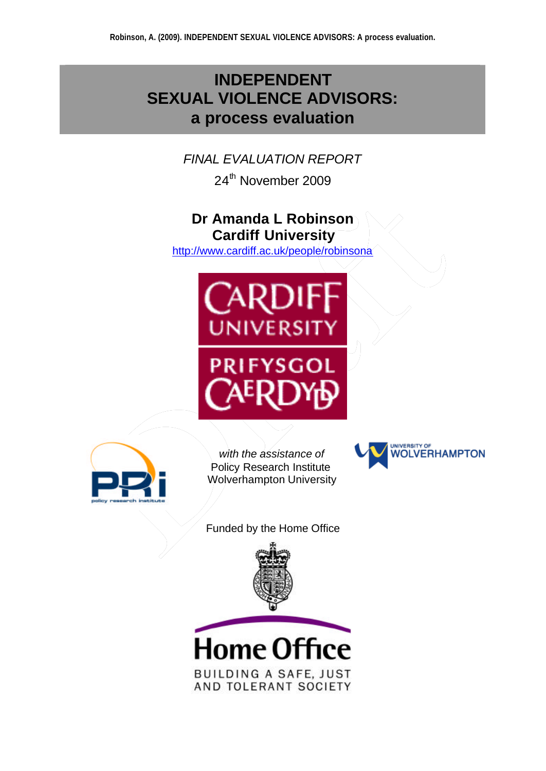# **INDEPENDENT SEXUAL VIOLENCE ADVISORS: a process evaluation**

# *FINAL EVALUATION REPORT*

24<sup>th</sup> November 2009

# **Dr Amanda L Robinson Cardiff University**

http://www.cardiff.ac.uk/people/robinsona





*with the assistance of* Policy Research Institute Wolverhampton University



Funded by the Home Office



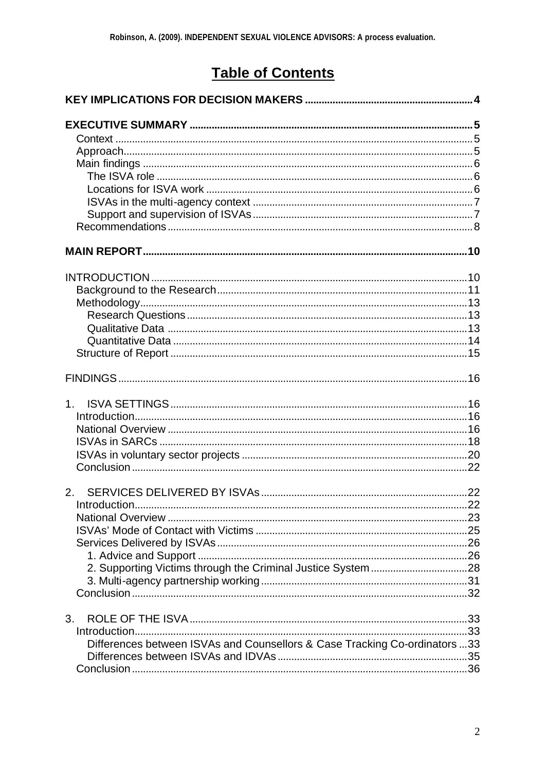# **Table of Contents**

| 1 <sub>1</sub>                                                             |  |
|----------------------------------------------------------------------------|--|
|                                                                            |  |
|                                                                            |  |
|                                                                            |  |
|                                                                            |  |
|                                                                            |  |
|                                                                            |  |
|                                                                            |  |
|                                                                            |  |
|                                                                            |  |
|                                                                            |  |
|                                                                            |  |
|                                                                            |  |
|                                                                            |  |
|                                                                            |  |
| 3.                                                                         |  |
|                                                                            |  |
| Differences between ISVAs and Counsellors & Case Tracking Co-ordinators 33 |  |
|                                                                            |  |
|                                                                            |  |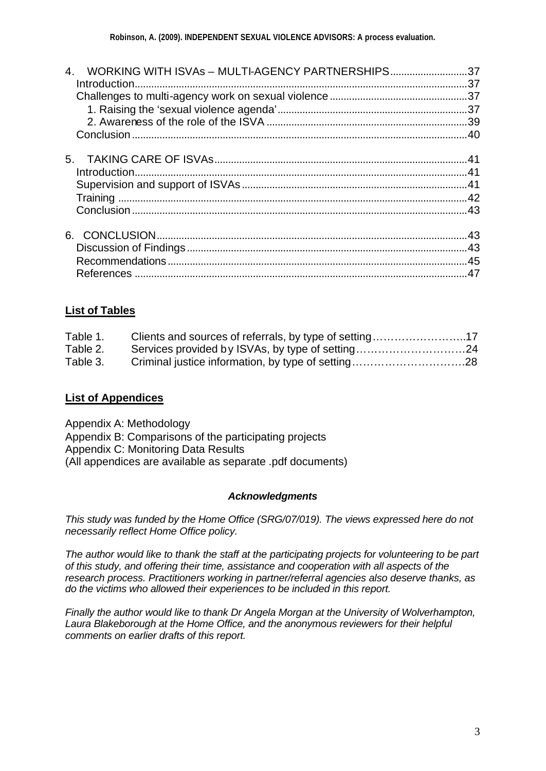| WORKING WITH ISVAs - MULTI-AGENCY PARTNERSHIPS37<br>4 <sup>1</sup> |    |
|--------------------------------------------------------------------|----|
|                                                                    |    |
|                                                                    |    |
|                                                                    |    |
|                                                                    |    |
| 5.                                                                 |    |
|                                                                    |    |
|                                                                    |    |
|                                                                    |    |
|                                                                    |    |
|                                                                    |    |
|                                                                    |    |
|                                                                    |    |
|                                                                    | 47 |
|                                                                    |    |

### **List of Tables**

| Table 1. | Clients and sources of referrals, by type of setting17 |  |
|----------|--------------------------------------------------------|--|
| Table 2. | Services provided by ISVAs, by type of setting24       |  |
| Table 3. |                                                        |  |

#### **List of Appendices**

Appendix A: Methodology Appendix B: Comparisons of the participating projects Appendix C: Monitoring Data Results (All appendices are available as separate .pdf documents)

#### *Acknowledgments*

*This study was funded by the Home Office (SRG/07/019). The views expressed here do not necessarily reflect Home Office policy.*

*The author would like to thank the staff at the participating projects for volunteering to be part of this study, and offering their time, assistance and cooperation with all aspects of the research process. Practitioners working in partner/referral agencies also deserve thanks, as do the victims who allowed their experiences to be included in this report.* 

*Finally the author would like to thank Dr Angela Morgan at the University of Wolverhampton, Laura Blakeborough at the Home Office, and the anonymous reviewers for their helpful comments on earlier drafts of this report.*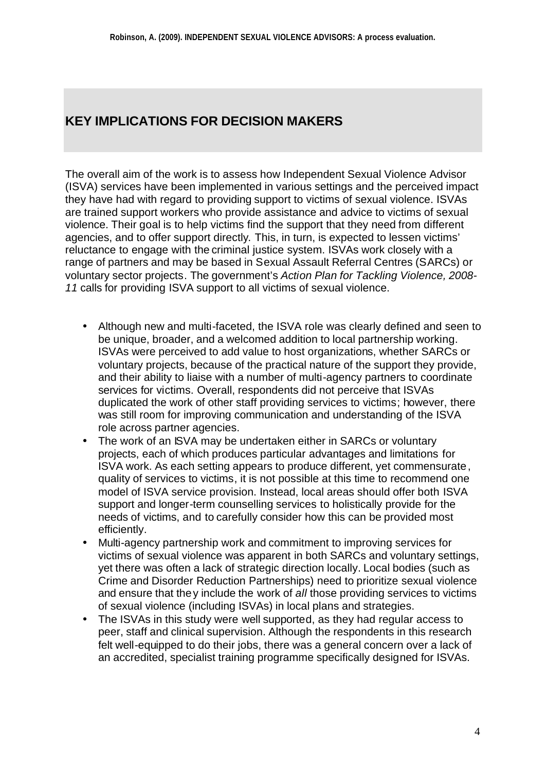# **KEY IMPLICATIONS FOR DECISION MAKERS**

The overall aim of the work is to assess how Independent Sexual Violence Advisor (ISVA) services have been implemented in various settings and the perceived impact they have had with regard to providing support to victims of sexual violence. ISVAs are trained support workers who provide assistance and advice to victims of sexual violence. Their goal is to help victims find the support that they need from different agencies, and to offer support directly. This, in turn, is expected to lessen victims' reluctance to engage with the criminal justice system. ISVAs work closely with a range of partners and may be based in Sexual Assault Referral Centres (SARCs) or voluntary sector projects. The government's *Action Plan for Tackling Violence, 2008- 11* calls for providing ISVA support to all victims of sexual violence.

- Although new and multi-faceted, the ISVA role was clearly defined and seen to be unique, broader, and a welcomed addition to local partnership working. ISVAs were perceived to add value to host organizations, whether SARCs or voluntary projects, because of the practical nature of the support they provide, and their ability to liaise with a number of multi-agency partners to coordinate services for victims. Overall, respondents did not perceive that ISVAs duplicated the work of other staff providing services to victims; however, there was still room for improving communication and understanding of the ISVA role across partner agencies.
- The work of an ISVA may be undertaken either in SARCs or voluntary projects, each of which produces particular advantages and limitations for ISVA work. As each setting appears to produce different, yet commensurate, quality of services to victims, it is not possible at this time to recommend one model of ISVA service provision. Instead, local areas should offer both ISVA support and longer-term counselling services to holistically provide for the needs of victims, and to carefully consider how this can be provided most efficiently.
- Multi-agency partnership work and commitment to improving services for victims of sexual violence was apparent in both SARCs and voluntary settings, yet there was often a lack of strategic direction locally. Local bodies (such as Crime and Disorder Reduction Partnerships) need to prioritize sexual violence and ensure that they include the work of *all* those providing services to victims of sexual violence (including ISVAs) in local plans and strategies.
- The ISVAs in this study were well supported, as they had regular access to peer, staff and clinical supervision. Although the respondents in this research felt well-equipped to do their jobs, there was a general concern over a lack of an accredited, specialist training programme specifically designed for ISVAs.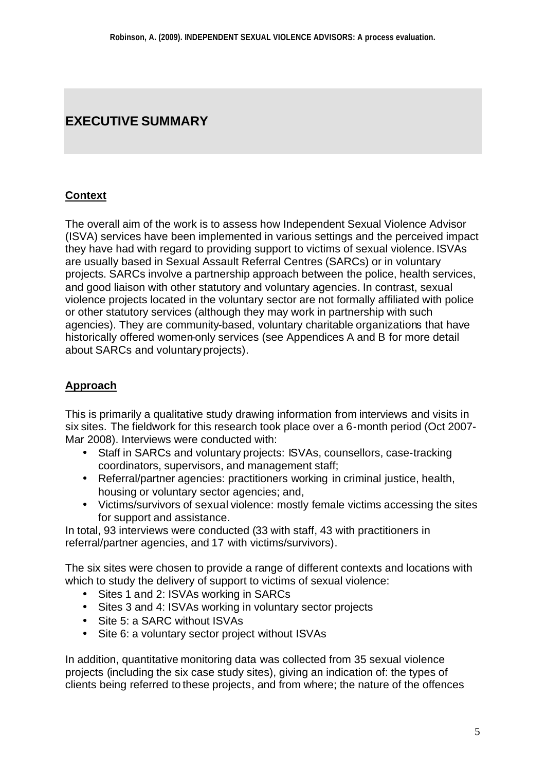# **EXECUTIVE SUMMARY**

## **Context**

The overall aim of the work is to assess how Independent Sexual Violence Advisor (ISVA) services have been implemented in various settings and the perceived impact they have had with regard to providing support to victims of sexual violence. ISVAs are usually based in Sexual Assault Referral Centres (SARCs) or in voluntary projects. SARCs involve a partnership approach between the police, health services, and good liaison with other statutory and voluntary agencies. In contrast, sexual violence projects located in the voluntary sector are not formally affiliated with police or other statutory services (although they may work in partnership with such agencies). They are community-based, voluntary charitable organizations that have historically offered women-only services (see Appendices A and B for more detail about SARCs and voluntary projects).

## **Approach**

This is primarily a qualitative study drawing information from interviews and visits in six sites. The fieldwork for this research took place over a 6-month period (Oct 2007- Mar 2008). Interviews were conducted with:

- Staff in SARCs and voluntary projects: ISVAs, counsellors, case-tracking coordinators, supervisors, and management staff;
- Referral/partner agencies: practitioners working in criminal justice, health, housing or voluntary sector agencies; and,
- Victims/survivors of sexual violence: mostly female victims accessing the sites for support and assistance.

In total, 93 interviews were conducted (33 with staff, 43 with practitioners in referral/partner agencies, and 17 with victims/survivors).

The six sites were chosen to provide a range of different contexts and locations with which to study the delivery of support to victims of sexual violence:

- Sites 1 and 2: ISVAs working in SARCs
- Sites 3 and 4: ISVAs working in voluntary sector projects
- Site 5: a SARC without ISVAs
- Site 6: a voluntary sector project without ISVAs

In addition, quantitative monitoring data was collected from 35 sexual violence projects (including the six case study sites), giving an indication of: the types of clients being referred to these projects, and from where; the nature of the offences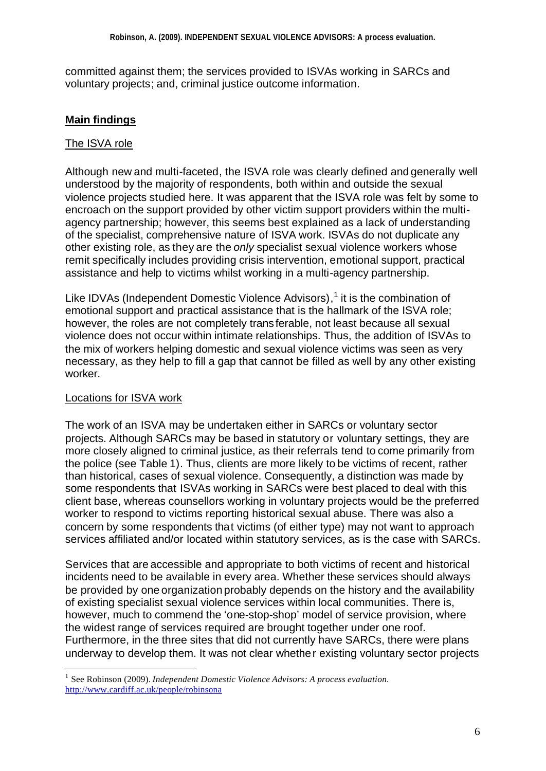committed against them; the services provided to ISVAs working in SARCs and voluntary projects; and, criminal justice outcome information.

## **Main findings**

### The ISVA role

Although new and multi-faceted, the ISVA role was clearly defined and generally well understood by the majority of respondents, both within and outside the sexual violence projects studied here. It was apparent that the ISVA role was felt by some to encroach on the support provided by other victim support providers within the multiagency partnership; however, this seems best explained as a lack of understanding of the specialist, comprehensive nature of ISVA work. ISVAs do not duplicate any other existing role, as they are the *only* specialist sexual violence workers whose remit specifically includes providing crisis intervention, emotional support, practical assistance and help to victims whilst working in a multi-agency partnership.

Like IDVAs (Independent Domestic Violence Advisors),<sup>1</sup> it is the combination of emotional support and practical assistance that is the hallmark of the ISVA role; however, the roles are not completely transferable, not least because all sexual violence does not occur within intimate relationships. Thus, the addition of ISVAs to the mix of workers helping domestic and sexual violence victims was seen as very necessary, as they help to fill a gap that cannot be filled as well by any other existing worker.

## Locations for ISVA work

l

The work of an ISVA may be undertaken either in SARCs or voluntary sector projects. Although SARCs may be based in statutory or voluntary settings, they are more closely aligned to criminal justice, as their referrals tend to come primarily from the police (see Table 1). Thus, clients are more likely to be victims of recent, rather than historical, cases of sexual violence. Consequently, a distinction was made by some respondents that ISVAs working in SARCs were best placed to deal with this client base, whereas counsellors working in voluntary projects would be the preferred worker to respond to victims reporting historical sexual abuse. There was also a concern by some respondents that victims (of either type) may not want to approach services affiliated and/or located within statutory services, as is the case with SARCs.

Services that are accessible and appropriate to both victims of recent and historical incidents need to be available in every area. Whether these services should always be provided by one organization probably depends on the history and the availability of existing specialist sexual violence services within local communities. There is, however, much to commend the 'one-stop-shop' model of service provision, where the widest range of services required are brought together under one roof. Furthermore, in the three sites that did not currently have SARCs, there were plans underway to develop them. It was not clear whether existing voluntary sector projects

<sup>&</sup>lt;sup>1</sup> See Robinson (2009). *Independent Domestic Violence Advisors: A process evaluation*. http://www.cardiff.ac.uk/people/robinsona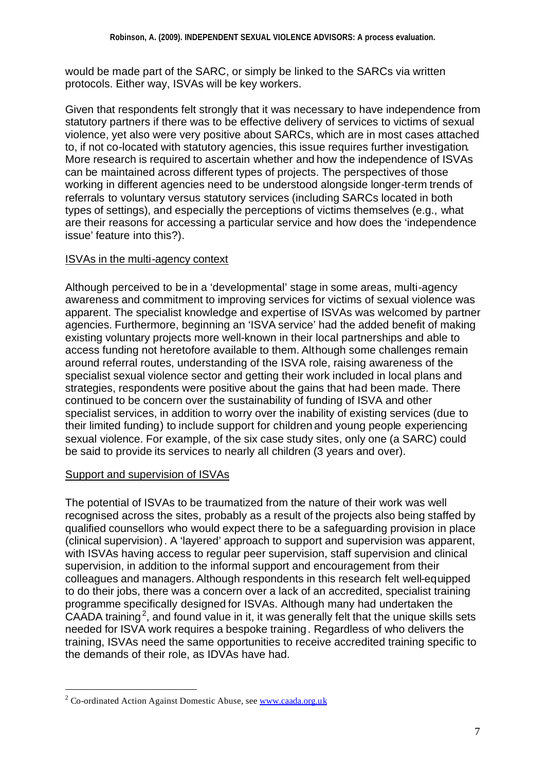would be made part of the SARC, or simply be linked to the SARCs via written protocols. Either way, ISVAs will be key workers.

Given that respondents felt strongly that it was necessary to have independence from statutory partners if there was to be effective delivery of services to victims of sexual violence, yet also were very positive about SARCs, which are in most cases attached to, if not co-located with statutory agencies, this issue requires further investigation. More research is required to ascertain whether and how the independence of ISVAs can be maintained across different types of projects. The perspectives of those working in different agencies need to be understood alongside longer-term trends of referrals to voluntary versus statutory services (including SARCs located in both types of settings), and especially the perceptions of victims themselves (e.g., what are their reasons for accessing a particular service and how does the 'independence issue' feature into this?).

#### ISVAs in the multi-agency context

Although perceived to be in a 'developmental' stage in some areas, multi-agency awareness and commitment to improving services for victims of sexual violence was apparent. The specialist knowledge and expertise of ISVAs was welcomed by partner agencies. Furthermore, beginning an 'ISVA service' had the added benefit of making existing voluntary projects more well-known in their local partnerships and able to access funding not heretofore available to them. Although some challenges remain around referral routes, understanding of the ISVA role, raising awareness of the specialist sexual violence sector and getting their work included in local plans and strategies, respondents were positive about the gains that had been made. There continued to be concern over the sustainability of funding of ISVA and other specialist services, in addition to worry over the inability of existing services (due to their limited funding) to include support for children and young people experiencing sexual violence. For example, of the six case study sites, only one (a SARC) could be said to provide its services to nearly all children (3 years and over).

#### Support and supervision of ISVAs

l

The potential of ISVAs to be traumatized from the nature of their work was well recognised across the sites, probably as a result of the projects also being staffed by qualified counsellors who would expect there to be a safeguarding provision in place (clinical supervision). A 'layered' approach to support and supervision was apparent, with ISVAs having access to regular peer supervision, staff supervision and clinical supervision, in addition to the informal support and encouragement from their colleagues and managers. Although respondents in this research felt well-equipped to do their jobs, there was a concern over a lack of an accredited, specialist training programme specifically designed for ISVAs. Although many had undertaken the CAADA training<sup>2</sup>, and found value in it, it was generally felt that the unique skills sets needed for ISVA work requires a bespoke training. Regardless of who delivers the training, ISVAs need the same opportunities to receive accredited training specific to the demands of their role, as IDVAs have had.

 $2^2$  Co-ordinated Action Against Domestic Abuse, see www.caada.org.uk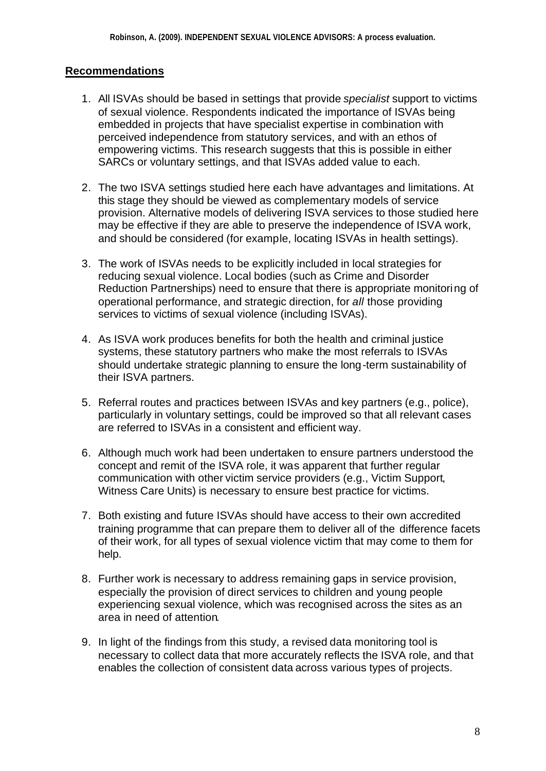## **Recommendations**

- 1. All ISVAs should be based in settings that provide *specialist* support to victims of sexual violence. Respondents indicated the importance of ISVAs being embedded in projects that have specialist expertise in combination with perceived independence from statutory services, and with an ethos of empowering victims. This research suggests that this is possible in either SARCs or voluntary settings, and that ISVAs added value to each.
- 2. The two ISVA settings studied here each have advantages and limitations. At this stage they should be viewed as complementary models of service provision. Alternative models of delivering ISVA services to those studied here may be effective if they are able to preserve the independence of ISVA work, and should be considered (for example, locating ISVAs in health settings).
- 3. The work of ISVAs needs to be explicitly included in local strategies for reducing sexual violence. Local bodies (such as Crime and Disorder Reduction Partnerships) need to ensure that there is appropriate monitoring of operational performance, and strategic direction, for *all* those providing services to victims of sexual violence (including ISVAs).
- 4. As ISVA work produces benefits for both the health and criminal justice systems, these statutory partners who make the most referrals to ISVAs should undertake strategic planning to ensure the long-term sustainability of their ISVA partners.
- 5. Referral routes and practices between ISVAs and key partners (e.g., police), particularly in voluntary settings, could be improved so that all relevant cases are referred to ISVAs in a consistent and efficient way.
- 6. Although much work had been undertaken to ensure partners understood the concept and remit of the ISVA role, it was apparent that further regular communication with other victim service providers (e.g., Victim Support, Witness Care Units) is necessary to ensure best practice for victims.
- 7. Both existing and future ISVAs should have access to their own accredited training programme that can prepare them to deliver all of the difference facets of their work, for all types of sexual violence victim that may come to them for help.
- 8. Further work is necessary to address remaining gaps in service provision, especially the provision of direct services to children and young people experiencing sexual violence, which was recognised across the sites as an area in need of attention.
- 9. In light of the findings from this study, a revised data monitoring tool is necessary to collect data that more accurately reflects the ISVA role, and that enables the collection of consistent data across various types of projects.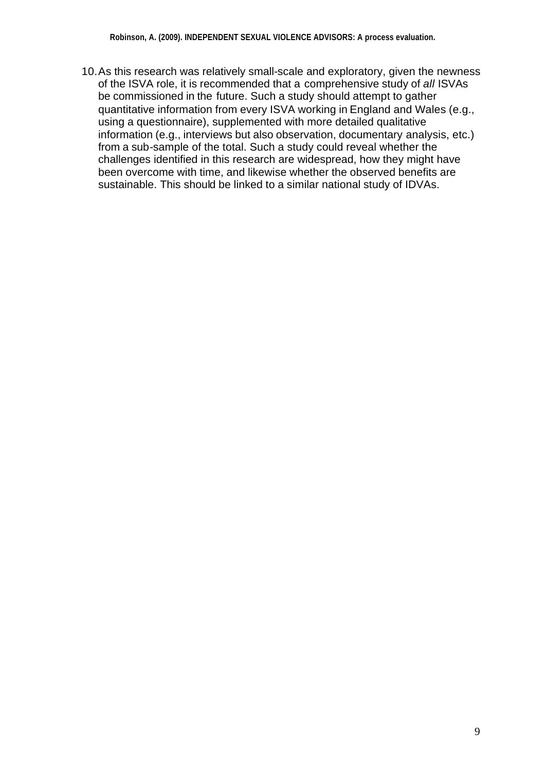10.As this research was relatively small-scale and exploratory, given the newness of the ISVA role, it is recommended that a comprehensive study of *all* ISVAs be commissioned in the future. Such a study should attempt to gather quantitative information from every ISVA working in England and Wales (e.g., using a questionnaire), supplemented with more detailed qualitative information (e.g., interviews but also observation, documentary analysis, etc.) from a sub-sample of the total. Such a study could reveal whether the challenges identified in this research are widespread, how they might have been overcome with time, and likewise whether the observed benefits are sustainable. This should be linked to a similar national study of IDVAs.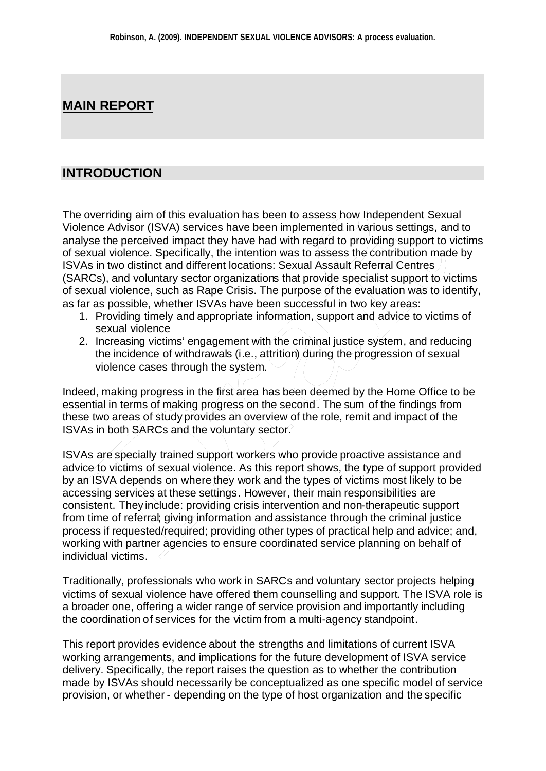## **MAIN REPORT**

## **INTRODUCTION**

The overriding aim of this evaluation has been to assess how Independent Sexual Violence Advisor (ISVA) services have been implemented in various settings, and to analyse the perceived impact they have had with regard to providing support to victims of sexual violence. Specifically, the intention was to assess the contribution made by ISVAs in two distinct and different locations: Sexual Assault Referral Centres (SARCs), and voluntary sector organizations that provide specialist support to victims of sexual violence, such as Rape Crisis. The purpose of the evaluation was to identify, as far as possible, whether ISVAs have been successful in two key areas:

- 1. Providing timely and appropriate information, support and advice to victims of sexual violence
- 2. Increasing victims' engagement with the criminal justice system, and reducing the incidence of withdrawals (i.e., attrition) during the progression of sexual violence cases through the system.

Indeed, making progress in the first area has been deemed by the Home Office to be essential in terms of making progress on the second. The sum of the findings from these two areas of study provides an overview of the role, remit and impact of the ISVAs in both SARCs and the voluntary sector.

ISVAs are specially trained support workers who provide proactive assistance and advice to victims of sexual violence. As this report shows, the type of support provided by an ISVA depends on where they work and the types of victims most likely to be accessing services at these settings. However, their main responsibilities are consistent. They include: providing crisis intervention and non-therapeutic support from time of referral; giving information and assistance through the criminal justice process if requested/required; providing other types of practical help and advice; and, working with partner agencies to ensure coordinated service planning on behalf of individual victims.

Traditionally, professionals who work in SARCs and voluntary sector projects helping victims of sexual violence have offered them counselling and support. The ISVA role is a broader one, offering a wider range of service provision and importantly including the coordination of services for the victim from a multi-agency standpoint.

This report provides evidence about the strengths and limitations of current ISVA working arrangements, and implications for the future development of ISVA service delivery. Specifically, the report raises the question as to whether the contribution made by ISVAs should necessarily be conceptualized as one specific model of service provision, or whether - depending on the type of host organization and the specific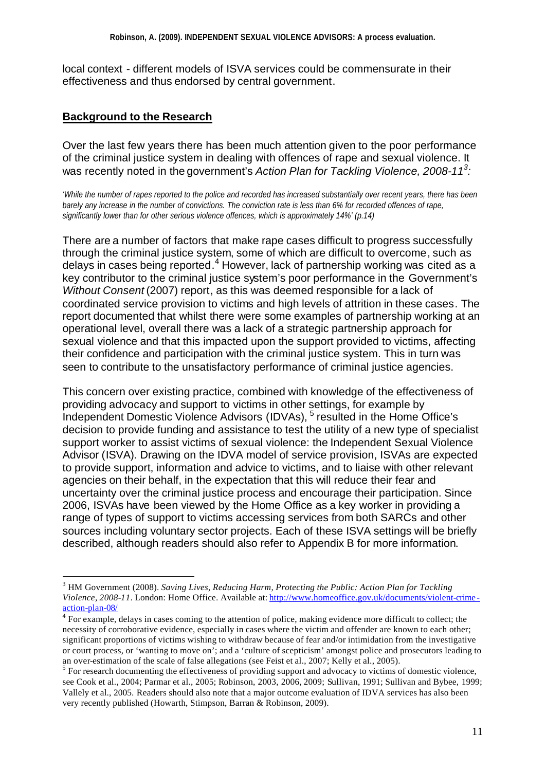local context - different models of ISVA services could be commensurate in their effectiveness and thus endorsed by central government.

## **Background to the Research**

l

Over the last few years there has been much attention given to the poor performance of the criminal justice system in dealing with offences of rape and sexual violence. It was recently noted in the government's *Action Plan for Tackling Violence, 2008-11<sup>3</sup> :*

*'While the number of rapes reported to the police and recorded has increased substantially over recent years, there has been barely any increase in the number of convictions. The conviction rate is less than 6% for recorded offences of rape, significantly lower than for other serious violence offences, which is approximately 14%' (p.14)*

There are a number of factors that make rape cases difficult to progress successfully through the criminal justice system, some of which are difficult to overcome, such as delays in cases being reported.<sup>4</sup> However, lack of partnership working was cited as a key contributor to the criminal justice system's poor performance in the Government's *Without Consent* (2007) report, as this was deemed responsible for a lack of coordinated service provision to victims and high levels of attrition in these cases. The report documented that whilst there were some examples of partnership working at an operational level, overall there was a lack of a strategic partnership approach for sexual violence and that this impacted upon the support provided to victims, affecting their confidence and participation with the criminal justice system. This in turn was seen to contribute to the unsatisfactory performance of criminal justice agencies.

This concern over existing practice, combined with knowledge of the effectiveness of providing advocacy and support to victims in other settings, for example by Independent Domestic Violence Advisors (IDVAs), <sup>5</sup> resulted in the Home Office's decision to provide funding and assistance to test the utility of a new type of specialist support worker to assist victims of sexual violence: the Independent Sexual Violence Advisor (ISVA). Drawing on the IDVA model of service provision, ISVAs are expected to provide support, information and advice to victims, and to liaise with other relevant agencies on their behalf, in the expectation that this will reduce their fear and uncertainty over the criminal justice process and encourage their participation. Since 2006, ISVAs have been viewed by the Home Office as a key worker in providing a range of types of support to victims accessing services from both SARCs and other sources including voluntary sector projects. Each of these ISVA settings will be briefly described, although readers should also refer to Appendix B for more information.

<sup>3</sup> HM Government (2008). *Saving Lives, Reducing Harm, Protecting the Public: Action Plan for Tackling Violence, 2008-11.* London: Home Office. Available at: http://www.homeoffice.gov.uk/documents/violent-crime action-plan-08/

 $4$  For example, delays in cases coming to the attention of police, making evidence more difficult to collect; the necessity of corroborative evidence, especially in cases where the victim and offender are known to each other; significant proportions of victims wishing to withdraw because of fear and/or intimidation from the investigative or court process, or 'wanting to move on'; and a 'culture of scepticism' amongst police and prosecutors leading to an over-estimation of the scale of false allegations (see Feist et al., 2007; Kelly et al., 2005).

 $<sup>5</sup>$  For research documenting the effectiveness of providing support and advocacy to victims of domestic violence,</sup> see Cook et al., 2004; Parmar et al., 2005; Robinson, 2003, 2006, 2009; Sullivan, 1991; Sullivan and Bybee, 1999; Vallely et al., 2005. Readers should also note that a major outcome evaluation of IDVA services has also been very recently published (Howarth, Stimpson, Barran & Robinson, 2009).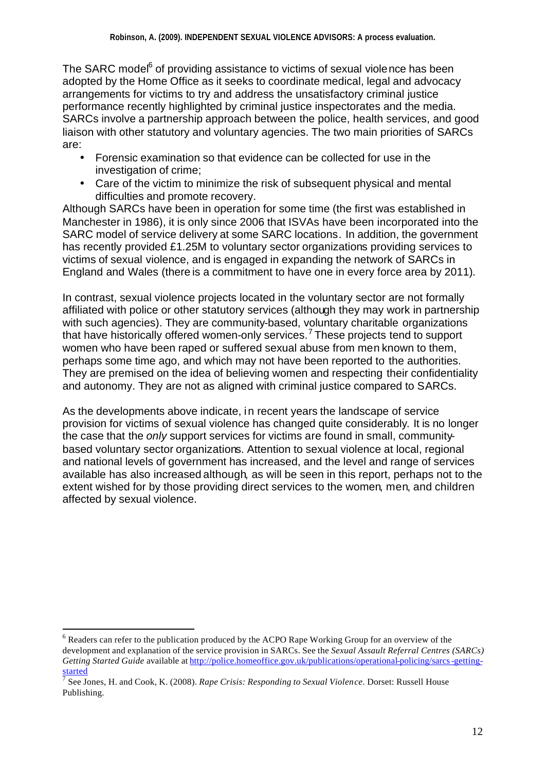The SARC model<sup>6</sup> of providing assistance to victims of sexual violence has been adopted by the Home Office as it seeks to coordinate medical, legal and advocacy arrangements for victims to try and address the unsatisfactory criminal justice performance recently highlighted by criminal justice inspectorates and the media. SARCs involve a partnership approach between the police, health services, and good liaison with other statutory and voluntary agencies. The two main priorities of SARCs are:

- Forensic examination so that evidence can be collected for use in the investigation of crime;
- Care of the victim to minimize the risk of subsequent physical and mental difficulties and promote recovery.

Although SARCs have been in operation for some time (the first was established in Manchester in 1986), it is only since 2006 that ISVAs have been incorporated into the SARC model of service delivery at some SARC locations. In addition, the government has recently provided £1.25M to voluntary sector organizations providing services to victims of sexual violence, and is engaged in expanding the network of SARCs in England and Wales (there is a commitment to have one in every force area by 2011).

In contrast, sexual violence projects located in the voluntary sector are not formally affiliated with police or other statutory services (although they may work in partnership with such agencies). They are community-based, voluntary charitable organizations that have historically offered women-only services.<sup>7</sup> These projects tend to support women who have been raped or suffered sexual abuse from men known to them, perhaps some time ago, and which may not have been reported to the authorities. They are premised on the idea of believing women and respecting their confidentiality and autonomy. They are not as aligned with criminal justice compared to SARCs.

As the developments above indicate, in recent years the landscape of service provision for victims of sexual violence has changed quite considerably. It is no longer the case that the *only* support services for victims are found in small, communitybased voluntary sector organizations. Attention to sexual violence at local, regional and national levels of government has increased, and the level and range of services available has also increased although, as will be seen in this report, perhaps not to the extent wished for by those providing direct services to the women, men, and children affected by sexual violence.

l

 $6$  Readers can refer to the publication produced by the ACPO Rape Working Group for an overview of the development and explanation of the service provision in SARCs. See the *Sexual Assault Referral Centres (SARCs) Getting Started Guide* available at http://police.homeoffice.gov.uk/publications/operational-policing/sarcs-gettingstarted

<sup>7</sup> See Jones, H. and Cook, K. (2008). *Rape Crisis: Responding to Sexual Violence*. Dorset: Russell House Publishing.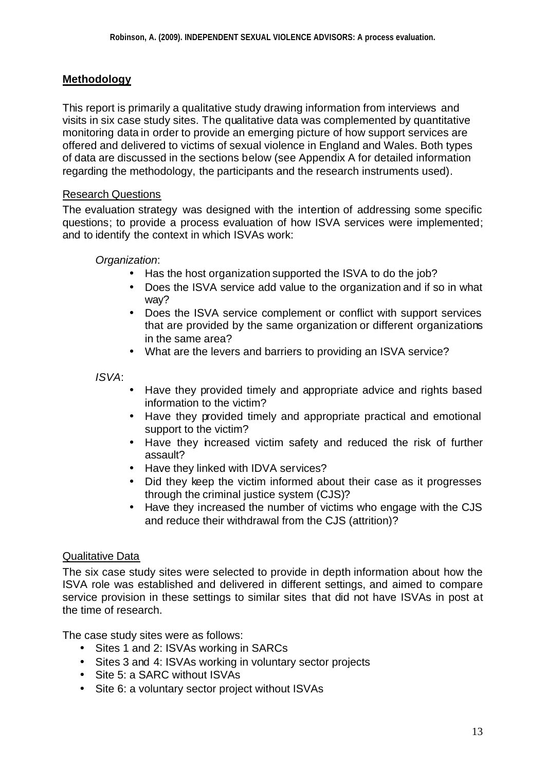### **Methodology**

This report is primarily a qualitative study drawing information from interviews and visits in six case study sites. The qualitative data was complemented by quantitative monitoring data in order to provide an emerging picture of how support services are offered and delivered to victims of sexual violence in England and Wales. Both types of data are discussed in the sections below (see Appendix A for detailed information regarding the methodology, the participants and the research instruments used).

#### Research Questions

The evaluation strategy was designed with the intention of addressing some specific questions; to provide a process evaluation of how ISVA services were implemented; and to identify the context in which ISVAs work:

*Organization*:

- Has the host organization supported the ISVA to do the job?
- Does the ISVA service add value to the organization and if so in what way?
- Does the ISVA service complement or conflict with support services that are provided by the same organization or different organizations in the same area?
- What are the levers and barriers to providing an ISVA service?

*ISVA*:

- Have they provided timely and appropriate advice and rights based information to the victim?
- Have they provided timely and appropriate practical and emotional support to the victim?
- Have they increased victim safety and reduced the risk of further assault?
- Have they linked with IDVA services?
- Did they keep the victim informed about their case as it progresses through the criminal justice system (CJS)?
- Have they increased the number of victims who engage with the CJS and reduce their withdrawal from the CJS (attrition)?

#### Qualitative Data

The six case study sites were selected to provide in depth information about how the ISVA role was established and delivered in different settings, and aimed to compare service provision in these settings to similar sites that did not have ISVAs in post at the time of research.

The case study sites were as follows:

- Sites 1 and 2: ISVAs working in SARCs
- Sites 3 and 4: ISVAs working in voluntary sector projects
- Site 5: a SARC without ISVAs
- Site 6: a voluntary sector project without ISVAs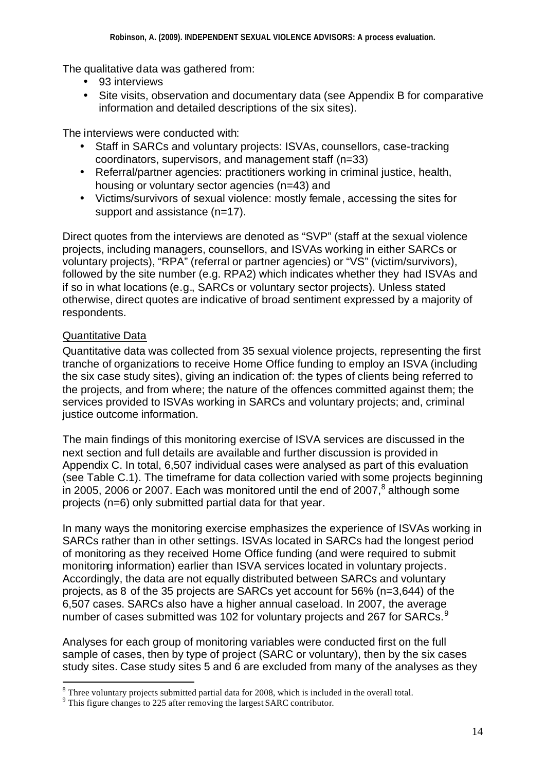The qualitative data was gathered from:

- 93 interviews
- Site visits, observation and documentary data (see Appendix B for comparative information and detailed descriptions of the six sites).

The interviews were conducted with:

- Staff in SARCs and voluntary projects: ISVAs, counsellors, case-tracking coordinators, supervisors, and management staff (n=33)
- Referral/partner agencies: practitioners working in criminal justice, health, housing or voluntary sector agencies (n=43) and
- Victims/survivors of sexual violence: mostly female, accessing the sites for support and assistance (n=17).

Direct quotes from the interviews are denoted as "SVP" (staff at the sexual violence projects, including managers, counsellors, and ISVAs working in either SARCs or voluntary projects), "RPA" (referral or partner agencies) or "VS" (victim/survivors), followed by the site number (e.g. RPA2) which indicates whether they had ISVAs and if so in what locations (e.g., SARCs or voluntary sector projects). Unless stated otherwise, direct quotes are indicative of broad sentiment expressed by a majority of respondents.

## Quantitative Data

l

Quantitative data was collected from 35 sexual violence projects, representing the first tranche of organizations to receive Home Office funding to employ an ISVA (including the six case study sites), giving an indication of: the types of clients being referred to the projects, and from where; the nature of the offences committed against them; the services provided to ISVAs working in SARCs and voluntary projects; and, criminal justice outcome information.

The main findings of this monitoring exercise of ISVA services are discussed in the next section and full details are available and further discussion is provided in Appendix C. In total, 6,507 individual cases were analysed as part of this evaluation (see Table C.1). The timeframe for data collection varied with some projects beginning in 2005, 2006 or 2007. Each was monitored until the end of 2007, $^8$  although some projects (n=6) only submitted partial data for that year.

In many ways the monitoring exercise emphasizes the experience of ISVAs working in SARCs rather than in other settings. ISVAs located in SARCs had the longest period of monitoring as they received Home Office funding (and were required to submit monitoring information) earlier than ISVA services located in voluntary projects. Accordingly, the data are not equally distributed between SARCs and voluntary projects, as 8 of the 35 projects are SARCs yet account for 56% (n=3,644) of the 6,507 cases. SARCs also have a higher annual caseload. In 2007, the average number of cases submitted was 102 for voluntary projects and 267 for SARCs.<sup>9</sup>

Analyses for each group of monitoring variables were conducted first on the full sample of cases, then by type of project (SARC or voluntary), then by the six cases study sites. Case study sites 5 and 6 are excluded from many of the analyses as they

 $8$  Three voluntary projects submitted partial data for 2008, which is included in the overall total.

<sup>&</sup>lt;sup>9</sup> This figure changes to 225 after removing the largest SARC contributor.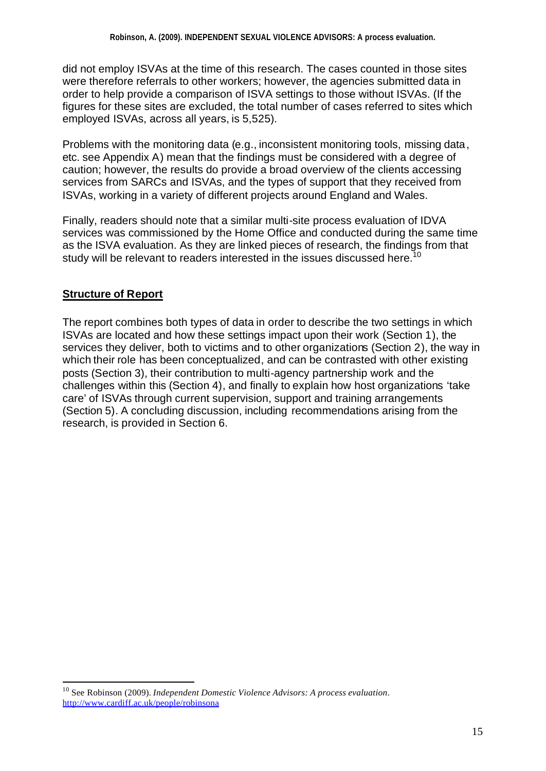did not employ ISVAs at the time of this research. The cases counted in those sites were therefore referrals to other workers; however, the agencies submitted data in order to help provide a comparison of ISVA settings to those without ISVAs. (If the figures for these sites are excluded, the total number of cases referred to sites which employed ISVAs, across all years, is 5,525).

Problems with the monitoring data (e.g., inconsistent monitoring tools, missing data, etc. see Appendix A) mean that the findings must be considered with a degree of caution; however, the results do provide a broad overview of the clients accessing services from SARCs and ISVAs, and the types of support that they received from ISVAs, working in a variety of different projects around England and Wales.

Finally, readers should note that a similar multi-site process evaluation of IDVA services was commissioned by the Home Office and conducted during the same time as the ISVA evaluation. As they are linked pieces of research, the findings from that study will be relevant to readers interested in the issues discussed here.<sup>10</sup>

## **Structure of Report**

l

The report combines both types of data in order to describe the two settings in which ISVAs are located and how these settings impact upon their work (Section 1), the services they deliver, both to victims and to other organizations (Section 2), the way in which their role has been conceptualized, and can be contrasted with other existing posts (Section 3), their contribution to multi-agency partnership work and the challenges within this (Section 4), and finally to explain how host organizations 'take care' of ISVAs through current supervision, support and training arrangements (Section 5). A concluding discussion, including recommendations arising from the research, is provided in Section 6.

<sup>10</sup> See Robinson (2009). *Independent Domestic Violence Advisors: A process evaluation*. http://www.cardiff.ac.uk/people/robinsona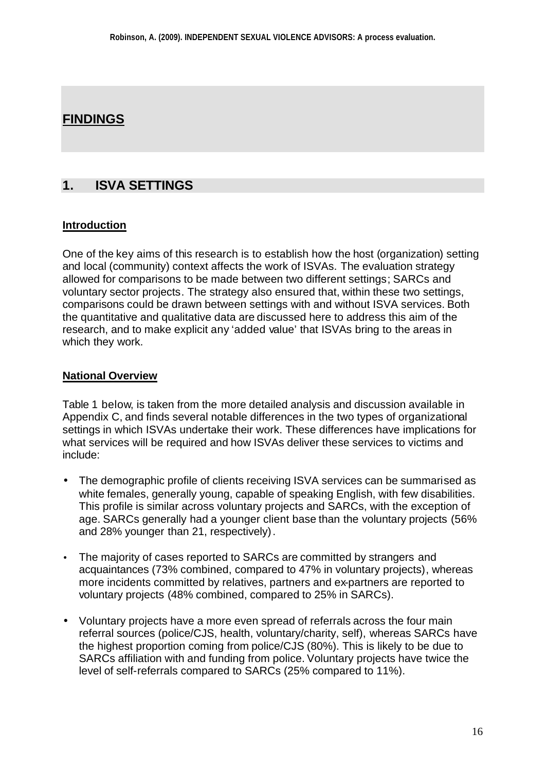# **FINDINGS**

## **1. ISVA SETTINGS**

#### **Introduction**

One of the key aims of this research is to establish how the host (organization) setting and local (community) context affects the work of ISVAs. The evaluation strategy allowed for comparisons to be made between two different settings; SARCs and voluntary sector projects. The strategy also ensured that, within these two settings, comparisons could be drawn between settings with and without ISVA services. Both the quantitative and qualitative data are discussed here to address this aim of the research, and to make explicit any 'added value' that ISVAs bring to the areas in which they work.

#### **National Overview**

Table 1 below, is taken from the more detailed analysis and discussion available in Appendix C, and finds several notable differences in the two types of organizational settings in which ISVAs undertake their work. These differences have implications for what services will be required and how ISVAs deliver these services to victims and include:

- The demographic profile of clients receiving ISVA services can be summarised as white females, generally young, capable of speaking English, with few disabilities. This profile is similar across voluntary projects and SARCs, with the exception of age. SARCs generally had a younger client base than the voluntary projects (56% and 28% younger than 21, respectively).
- The majority of cases reported to SARCs are committed by strangers and acquaintances (73% combined, compared to 47% in voluntary projects), whereas more incidents committed by relatives, partners and ex-partners are reported to voluntary projects (48% combined, compared to 25% in SARCs).
- Voluntary projects have a more even spread of referrals across the four main referral sources (police/CJS, health, voluntary/charity, self), whereas SARCs have the highest proportion coming from police/CJS (80%). This is likely to be due to SARCs affiliation with and funding from police. Voluntary projects have twice the level of self-referrals compared to SARCs (25% compared to 11%).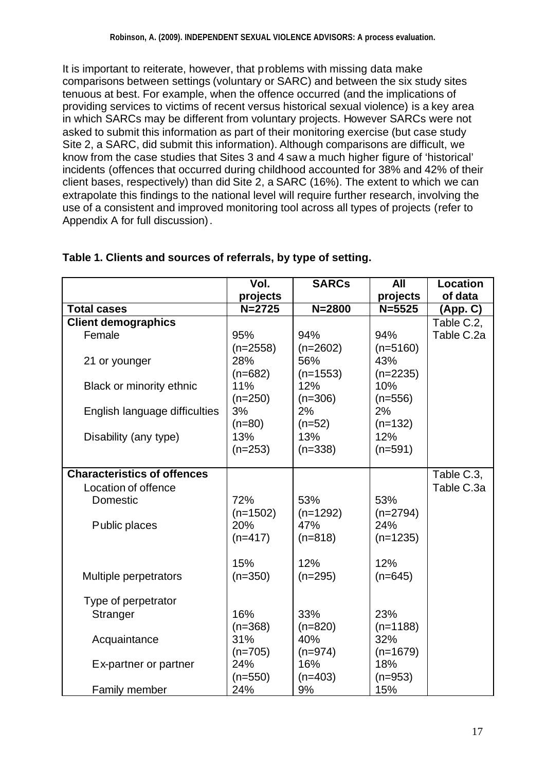It is important to reiterate, however, that problems with missing data make comparisons between settings (voluntary or SARC) and between the six study sites tenuous at best. For example, when the offence occurred (and the implications of providing services to victims of recent versus historical sexual violence) is a key area in which SARCs may be different from voluntary projects. However SARCs were not asked to submit this information as part of their monitoring exercise (but case study Site 2, a SARC, did submit this information). Although comparisons are difficult, we know from the case studies that Sites 3 and 4 saw a much higher figure of 'historical' incidents (offences that occurred during childhood accounted for 38% and 42% of their client bases, respectively) than did Site 2, a SARC (16%). The extent to which we can extrapolate this findings to the national level will require further research, involving the use of a consistent and improved monitoring tool across all types of projects (refer to Appendix A for full discussion).

|                                    | Vol.                           | <b>SARCs</b>                    | All                             | <b>Location</b> |
|------------------------------------|--------------------------------|---------------------------------|---------------------------------|-----------------|
|                                    | projects                       |                                 | projects                        | of data         |
| <b>Total cases</b>                 | $N = 2725$                     | $N = 2800$                      | $N = 5525$                      | (App. C)        |
| <b>Client demographics</b>         |                                |                                 |                                 | Table C.2,      |
| Female                             | 95%                            | 94%                             | 94%                             | Table C.2a      |
| 21 or younger                      | $(n=2558)$<br>28%<br>$(n=682)$ | $(n=2602)$<br>56%<br>$(n=1553)$ | $(n=5160)$<br>43%<br>$(n=2235)$ |                 |
| Black or minority ethnic           | 11%<br>$(n=250)$               | 12%<br>$(n=306)$                | 10%<br>$(n=556)$                |                 |
| English language difficulties      | 3%<br>$(n=80)$                 | 2%<br>$(n=52)$                  | 2%<br>$(n=132)$                 |                 |
| Disability (any type)              | 13%<br>$(n=253)$               | 13%<br>$(n=338)$                | 12%<br>$(n=591)$                |                 |
| <b>Characteristics of offences</b> |                                |                                 |                                 | Table C.3,      |
| Location of offence                |                                |                                 |                                 | Table C.3a      |
| Domestic                           | 72%                            | 53%                             | 53%                             |                 |
| Public places                      | $(n=1502)$<br>20%<br>$(n=417)$ | $(n=1292)$<br>47%<br>$(n=818)$  | $(n=2794)$<br>24%<br>$(n=1235)$ |                 |
| Multiple perpetrators              | 15%<br>$(n=350)$               | 12%<br>$(n=295)$                | 12%<br>$(n=645)$                |                 |
| Type of perpetrator                |                                |                                 |                                 |                 |
| <b>Stranger</b>                    | 16%<br>$(n=368)$               | 33%<br>$(n=820)$                | 23%<br>$(n=1188)$               |                 |
| Acquaintance                       | 31%<br>$(n=705)$               | 40%<br>$(n=974)$                | 32%<br>$(n=1679)$               |                 |
| Ex-partner or partner              | 24%<br>$(n=550)$               | 16%<br>$(n=403)$                | 18%<br>$(n=953)$                |                 |
| <b>Family member</b>               | 24%                            | 9%                              | 15%                             |                 |

## **Table 1. Clients and sources of referrals, by type of setting.**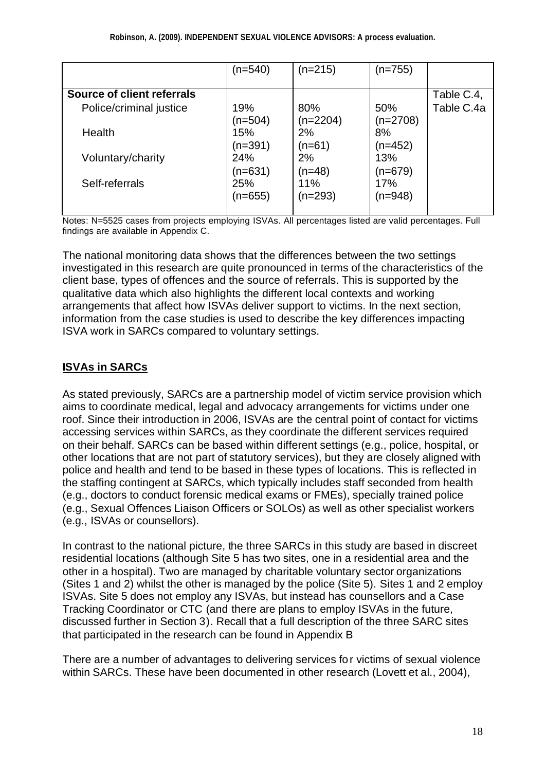|                            | (n=540) | $(n=215)$  | $(n=755)$  |            |
|----------------------------|---------|------------|------------|------------|
|                            |         |            |            |            |
| Source of client referrals |         |            |            | Table C.4, |
| Police/criminal justice    | 19%     | 80%        | 50%        | Table C.4a |
|                            | (n=504) | $(n=2204)$ | $(n=2708)$ |            |
| Health                     | 15%     | 2%         | 8%         |            |
|                            | (n=391) | $(n=61)$   | (n=452)    |            |
| Voluntary/charity          | 24%     | 2%         | 13%        |            |
|                            | (n=631) | $(n=48)$   | (n=679)    |            |
| Self-referrals             | 25%     | 11%        | 17%        |            |
|                            | (n=655) | (n=293)    | (n=948)    |            |
|                            |         |            |            |            |

Notes: N=5525 cases from projects employing ISVAs. All percentages listed are valid percentages. Full findings are available in Appendix C.

The national monitoring data shows that the differences between the two settings investigated in this research are quite pronounced in terms of the characteristics of the client base, types of offences and the source of referrals. This is supported by the qualitative data which also highlights the different local contexts and working arrangements that affect how ISVAs deliver support to victims. In the next section, information from the case studies is used to describe the key differences impacting ISVA work in SARCs compared to voluntary settings.

## **ISVAs in SARCs**

As stated previously, SARCs are a partnership model of victim service provision which aims to coordinate medical, legal and advocacy arrangements for victims under one roof. Since their introduction in 2006, ISVAs are the central point of contact for victims accessing services within SARCs, as they coordinate the different services required on their behalf. SARCs can be based within different settings (e.g., police, hospital, or other locations that are not part of statutory services), but they are closely aligned with police and health and tend to be based in these types of locations. This is reflected in the staffing contingent at SARCs, which typically includes staff seconded from health (e.g., doctors to conduct forensic medical exams or FMEs), specially trained police (e.g., Sexual Offences Liaison Officers or SOLOs) as well as other specialist workers (e.g., ISVAs or counsellors).

In contrast to the national picture, the three SARCs in this study are based in discreet residential locations (although Site 5 has two sites, one in a residential area and the other in a hospital). Two are managed by charitable voluntary sector organizations (Sites 1 and 2) whilst the other is managed by the police (Site 5). Sites 1 and 2 employ ISVAs. Site 5 does not employ any ISVAs, but instead has counsellors and a Case Tracking Coordinator or CTC (and there are plans to employ ISVAs in the future, discussed further in Section 3). Recall that a full description of the three SARC sites that participated in the research can be found in Appendix B

There are a number of advantages to delivering services for victims of sexual violence within SARCs. These have been documented in other research (Lovett et al., 2004),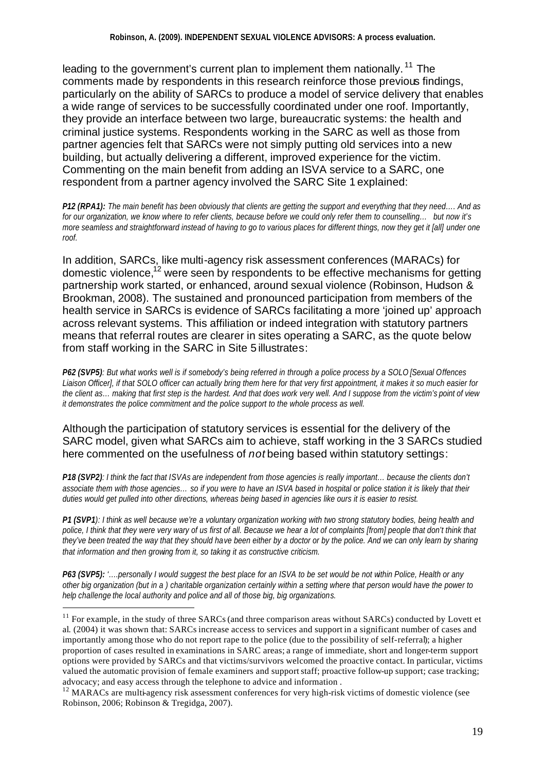leading to the government's current plan to implement them nationally.<sup>11</sup> The comments made by respondents in this research reinforce those previous findings, particularly on the ability of SARCs to produce a model of service delivery that enables a wide range of services to be successfully coordinated under one roof. Importantly, they provide an interface between two large, bureaucratic systems: the health and criminal justice systems. Respondents working in the SARC as well as those from partner agencies felt that SARCs were not simply putting old services into a new building, but actually delivering a different, improved experience for the victim. Commenting on the main benefit from adding an ISVA service to a SARC, one respondent from a partner agency involved the SARC Site 1 explained:

*P12 (RPA1): The main benefit has been obviously that clients are getting the support and everything that they need…. And as for our organization, we know where to refer clients, because before we could only refer them to counselling… but now it's more seamless and straightforward instead of having to go to various places for different things, now they get it [all] under one roof.*

In addition, SARCs, like multi-agency risk assessment conferences (MARACs) for domestic violence,<sup> $12$ </sup> were seen by respondents to be effective mechanisms for getting partnership work started, or enhanced, around sexual violence (Robinson, Hudson & Brookman, 2008). The sustained and pronounced participation from members of the health service in SARCs is evidence of SARCs facilitating a more 'joined up' approach across relevant systems. This affiliation or indeed integration with statutory partners means that referral routes are clearer in sites operating a SARC, as the quote below from staff working in the SARC in Site 5 illustrates:

*P62 (SVP5): But what works well is if somebody's being referred in through a police process by a SOLO [Sexual Offences Liaison Officer], if that SOLO officer can actually bring them here for that very first appointment, it makes it so much easier for the client as… making that first step is the hardest. And that does work very well. And I suppose from the victim's point of view it demonstrates the police commitment and the police support to the whole process as well.*

#### Although the participation of statutory services is essential for the delivery of the SARC model, given what SARCs aim to achieve, staff working in the 3 SARCs studied here commented on the usefulness of *not* being based within statutory settings:

*P18 (SVP2): I think the fact that ISVAs are independent from those agencies is really important… because the clients don't associate them with those agencies… so if you were to have an ISVA based in hospital or police station it is likely that their duties would get pulled into other directions, whereas being based in agencies like ours it is easier to resist.*

*P1 (SVP1): I think as well because we're a voluntary organization working with two strong statutory bodies, being health and*  police, I think that they were very wary of us first of all. Because we hear a lot of complaints [from] people that don't think that *they've been treated the way that they should have been either by a doctor or by the police. And we can only learn by sharing that information and then growing from it, so taking it as constructive criticism.* 

*P63 (SVP5): '….personally I would suggest the best place for an ISVA to be set would be not within Police, Health or any other big organization (but in a ) charitable organization certainly within a setting where that person would have the power to help challenge the local authority and police and all of those big, big organizations.*

l

 $11$  For example, in the study of three SARCs (and three comparison areas without SARCs) conducted by Lovett et al. (2004) it was shown that: SARCs increase access to services and support in a significant number of cases and importantly among those who do not report rape to the police (due to the possibility of self-referral); a higher proportion of cases resulted in examinations in SARC areas; a range of immediate, short and longer-term support options were provided by SARCs and that victims/survivors welcomed the proactive contact. In particular, victims valued the automatic provision of female examiners and support staff; proactive follow-up support; case tracking; advocacy; and easy access through the telephone to advice and information .

 $12$  MARACs are multi-agency risk assessment conferences for very high-risk victims of domestic violence (see Robinson, 2006; Robinson & Tregidga, 2007).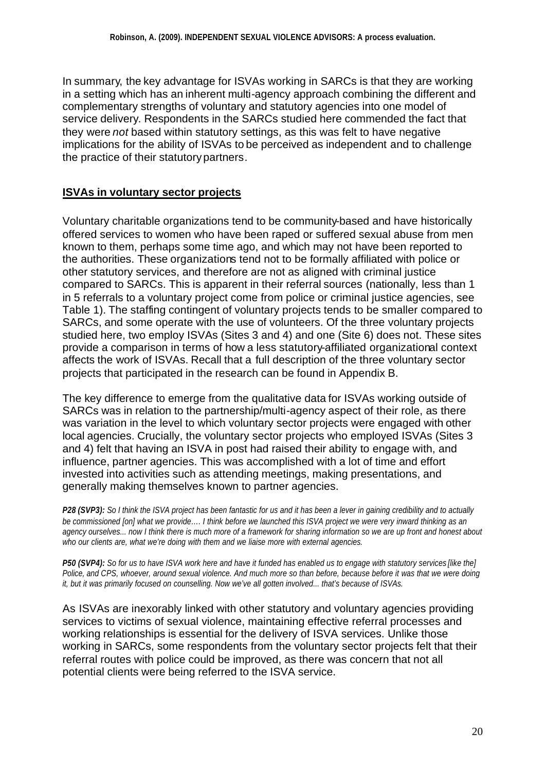In summary, the key advantage for ISVAs working in SARCs is that they are working in a setting which has an inherent multi-agency approach combining the different and complementary strengths of voluntary and statutory agencies into one model of service delivery. Respondents in the SARCs studied here commended the fact that they were *not* based within statutory settings, as this was felt to have negative implications for the ability of ISVAs to be perceived as independent and to challenge the practice of their statutory partners.

## **ISVAs in voluntary sector projects**

Voluntary charitable organizations tend to be community-based and have historically offered services to women who have been raped or suffered sexual abuse from men known to them, perhaps some time ago, and which may not have been reported to the authorities. These organizations tend not to be formally affiliated with police or other statutory services, and therefore are not as aligned with criminal justice compared to SARCs. This is apparent in their referral sources (nationally, less than 1 in 5 referrals to a voluntary project come from police or criminal justice agencies, see Table 1). The staffing contingent of voluntary projects tends to be smaller compared to SARCs, and some operate with the use of volunteers. Of the three voluntary projects studied here, two employ ISVAs (Sites 3 and 4) and one (Site 6) does not. These sites provide a comparison in terms of how a less statutory-affiliated organizational context affects the work of ISVAs. Recall that a full description of the three voluntary sector projects that participated in the research can be found in Appendix B.

The key difference to emerge from the qualitative data for ISVAs working outside of SARCs was in relation to the partnership/multi-agency aspect of their role, as there was variation in the level to which voluntary sector projects were engaged with other local agencies. Crucially, the voluntary sector projects who employed ISVAs (Sites 3 and 4) felt that having an ISVA in post had raised their ability to engage with, and influence, partner agencies. This was accomplished with a lot of time and effort invested into activities such as attending meetings, making presentations, and generally making themselves known to partner agencies.

*P28 (SVP3): So I think the ISVA project has been fantastic for us and it has been a lever in gaining credibility and to actually be commissioned [on] what we provide…. I think before we launched this ISVA project we were very inward thinking as an agency ourselves... now I think there is much more of a framework for sharing information so we are up front and honest about who our clients are, what we're doing with them and we liaise more with external agencies.*

*P50 (SVP4): So for us to have ISVA work here and have it funded has enabled us to engage with statutory services [like the] Police, and CPS, whoever, around sexual violence. And much more so than before, because before it was that we were doing it, but it was primarily focused on counselling. Now we've all gotten involved... that's because of ISVAs.*

As ISVAs are inexorably linked with other statutory and voluntary agencies providing services to victims of sexual violence, maintaining effective referral processes and working relationships is essential for the delivery of ISVA services. Unlike those working in SARCs, some respondents from the voluntary sector projects felt that their referral routes with police could be improved, as there was concern that not all potential clients were being referred to the ISVA service.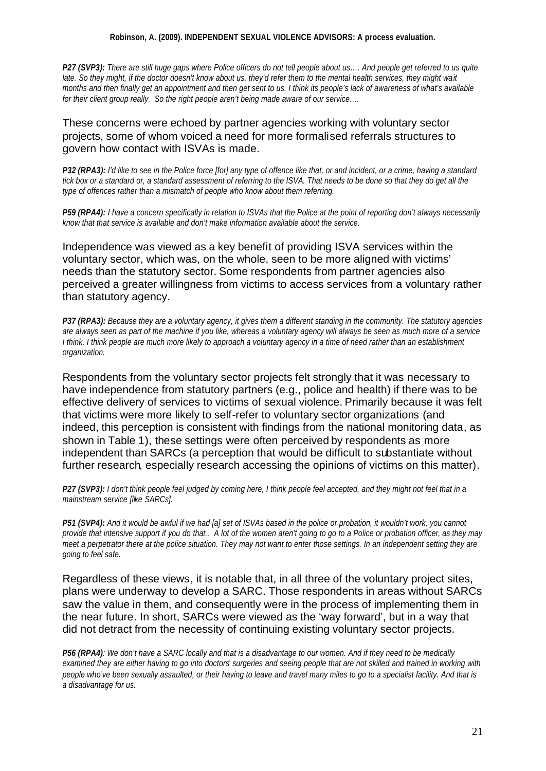#### **Robinson, A. (2009). INDEPENDENT SEXUAL VIOLENCE ADVISORS: A process evaluation.**

*P27 (SVP3):* There are still huge gaps where Police officers do not tell people about us.... And people get referred to us quite *late. So they might, if the doctor doesn't know about us, they'd refer them to the mental health services, they might wait months and then finally get an appointment and then get sent to us. I think its people's lack of awareness of what's available for their client group really. So the right people aren't being made aware of our service….*

These concerns were echoed by partner agencies working with voluntary sector projects, some of whom voiced a need for more formalised referrals structures to govern how contact with ISVAs is made.

*P32 (RPA3): I'd like to see in the Police force [for] any type of offence like that, or and incident, or a crime, having a standard tick box or a standard or, a standard assessment of referring to the ISVA. That needs to be done so that they do get all the type of offences rather than a mismatch of people who know about them referring.* 

*P59 (RPA4): I have a concern specifically in relation to ISVAs that the Police at the point of reporting don't always necessarily know that that service is available and don't make information available about the service.*

Independence was viewed as a key benefit of providing ISVA services within the voluntary sector, which was, on the whole, seen to be more aligned with victims' needs than the statutory sector. Some respondents from partner agencies also perceived a greater willingness from victims to access services from a voluntary rather than statutory agency.

*P37 (RPA3): Because they are a voluntary agency, it gives them a different standing in the community. The statutory agencies are always seen as part of the machine if you like, whereas a voluntary agency will always be seen as much more of a service I think. I think people are much more likely to approach a voluntary agency in a time of need rather than an establishment organization.*

Respondents from the voluntary sector projects felt strongly that it was necessary to have independence from statutory partners (e.g., police and health) if there was to be effective delivery of services to victims of sexual violence. Primarily because it was felt that victims were more likely to self-refer to voluntary sector organizations (and indeed, this perception is consistent with findings from the national monitoring data, as shown in Table 1), these settings were often perceived by respondents as more independent than SARCs (a perception that would be difficult to substantiate without further research, especially research accessing the opinions of victims on this matter).

*P27 (SVP3): I don't think people feel judged by coming here, I think people feel accepted, and they might not feel that in a mainstream service [like SARCs].* 

*P51 (SVP4): And it would be awful if we had [a] set of ISVAs based in the police or probation, it wouldn't work, you cannot provide that intensive support if you do that.. A lot of the women aren't going to go to a Police or probation officer, as they may meet a perpetrator there at the police situation. They may not want to enter those settings. In an independent setting they are going to feel safe.*

Regardless of these views, it is notable that, in all three of the voluntary project sites, plans were underway to develop a SARC. Those respondents in areas without SARCs saw the value in them, and consequently were in the process of implementing them in the near future. In short, SARCs were viewed as the 'way forward', but in a way that did not detract from the necessity of continuing existing voluntary sector projects.

*P56 (RPA4): We don't have a SARC locally and that is a disadvantage to our women. And if they need to be medically examined they are either having to go into doctors' surgeries and seeing people that are not skilled and trained in working with people who've been sexually assaulted, or their having to leave and travel many miles to go to a specialist facility. And that is a disadvantage for us.*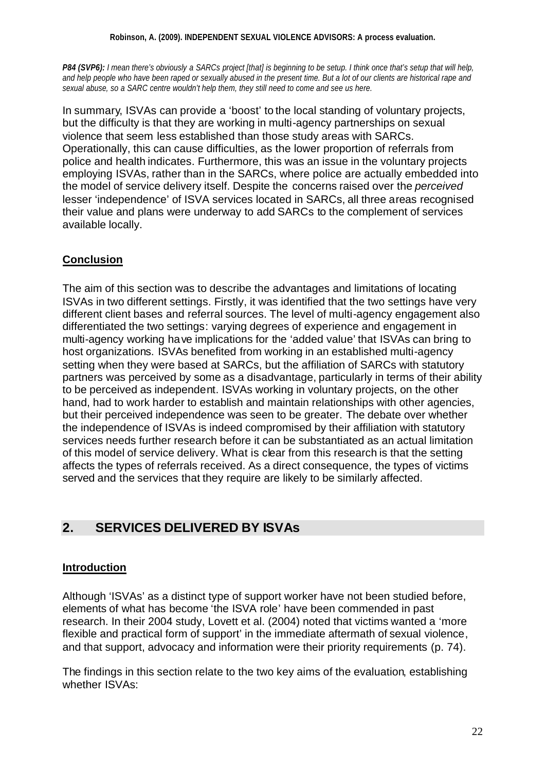#### **Robinson, A. (2009). INDEPENDENT SEXUAL VIOLENCE ADVISORS: A process evaluation.**

*P84 (SVP6): I mean there's obviously a SARCs project [that] is beginning to be setup. I think once that's setup that will help, and help people who have been raped or sexually abused in the present time. But a lot of our clients are historical rape and sexual abuse, so a SARC centre wouldn't help them, they still need to come and see us here.*

In summary, ISVAs can provide a 'boost' to the local standing of voluntary projects, but the difficulty is that they are working in multi-agency partnerships on sexual violence that seem less established than those study areas with SARCs. Operationally, this can cause difficulties, as the lower proportion of referrals from police and health indicates. Furthermore, this was an issue in the voluntary projects employing ISVAs, rather than in the SARCs, where police are actually embedded into the model of service delivery itself. Despite the concerns raised over the *perceived* lesser 'independence' of ISVA services located in SARCs, all three areas recognised their value and plans were underway to add SARCs to the complement of services available locally.

## **Conclusion**

The aim of this section was to describe the advantages and limitations of locating ISVAs in two different settings. Firstly, it was identified that the two settings have very different client bases and referral sources. The level of multi-agency engagement also differentiated the two settings: varying degrees of experience and engagement in multi-agency working have implications for the 'added value' that ISVAs can bring to host organizations. ISVAs benefited from working in an established multi-agency setting when they were based at SARCs, but the affiliation of SARCs with statutory partners was perceived by some as a disadvantage, particularly in terms of their ability to be perceived as independent. ISVAs working in voluntary projects, on the other hand, had to work harder to establish and maintain relationships with other agencies, but their perceived independence was seen to be greater. The debate over whether the independence of ISVAs is indeed compromised by their affiliation with statutory services needs further research before it can be substantiated as an actual limitation of this model of service delivery. What is clear from this research is that the setting affects the types of referrals received. As a direct consequence, the types of victims served and the services that they require are likely to be similarly affected.

## **2. SERVICES DELIVERED BY ISVAs**

#### **Introduction**

Although 'ISVAs' as a distinct type of support worker have not been studied before, elements of what has become 'the ISVA role' have been commended in past research. In their 2004 study, Lovett et al. (2004) noted that victims wanted a 'more flexible and practical form of support' in the immediate aftermath of sexual violence, and that support, advocacy and information were their priority requirements (p. 74).

The findings in this section relate to the two key aims of the evaluation, establishing whether ISVAs: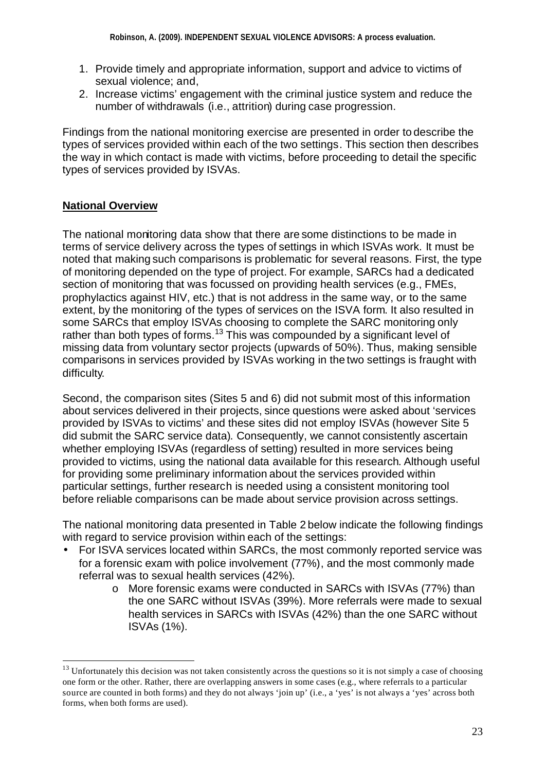- 1. Provide timely and appropriate information, support and advice to victims of sexual violence; and,
- 2. Increase victims' engagement with the criminal justice system and reduce the number of withdrawals (i.e., attrition) during case progression.

Findings from the national monitoring exercise are presented in order to describe the types of services provided within each of the two settings. This section then describes the way in which contact is made with victims, before proceeding to detail the specific types of services provided by ISVAs.

## **National Overview**

l

The national monitoring data show that there are some distinctions to be made in terms of service delivery across the types of settings in which ISVAs work. It must be noted that making such comparisons is problematic for several reasons. First, the type of monitoring depended on the type of project. For example, SARCs had a dedicated section of monitoring that was focussed on providing health services (e.g., FMEs, prophylactics against HIV, etc.) that is not address in the same way, or to the same extent, by the monitoring of the types of services on the ISVA form. It also resulted in some SARCs that employ ISVAs choosing to complete the SARC monitoring only rather than both types of forms.<sup>13</sup> This was compounded by a significant level of missing data from voluntary sector projects (upwards of 50%). Thus, making sensible comparisons in services provided by ISVAs working in the two settings is fraught with difficulty.

Second, the comparison sites (Sites 5 and 6) did not submit most of this information about services delivered in their projects, since questions were asked about 'services provided by ISVAs to victims' and these sites did not employ ISVAs (however Site 5 did submit the SARC service data). Consequently, we cannot consistently ascertain whether employing ISVAs (regardless of setting) resulted in more services being provided to victims, using the national data available for this research. Although useful for providing some preliminary information about the services provided within particular settings, further research is needed using a consistent monitoring tool before reliable comparisons can be made about service provision across settings.

The national monitoring data presented in Table 2 below indicate the following findings with regard to service provision within each of the settings:

- For ISVA services located within SARCs, the most commonly reported service was for a forensic exam with police involvement (77%), and the most commonly made referral was to sexual health services (42%).
	- o More forensic exams were conducted in SARCs with ISVAs (77%) than the one SARC without ISVAs (39%). More referrals were made to sexual health services in SARCs with ISVAs (42%) than the one SARC without ISVAs (1%).

 $13$  Unfortunately this decision was not taken consistently across the questions so it is not simply a case of choosing one form or the other. Rather, there are overlapping answers in some cases (e.g., where referrals to a particular source are counted in both forms) and they do not always 'join up' (i.e., a 'yes' is not always a 'yes' across both forms, when both forms are used).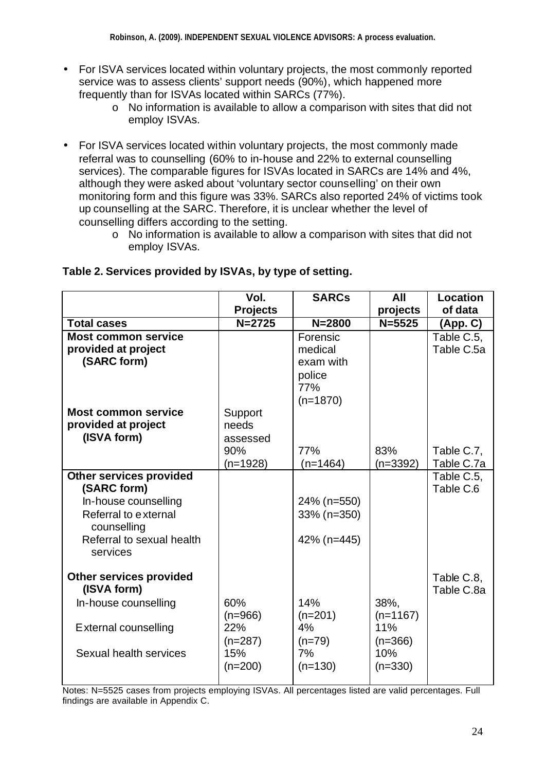- For ISVA services located within voluntary projects, the most commonly reported service was to assess clients' support needs (90%), which happened more frequently than for ISVAs located within SARCs (77%).
	- $\circ$  No information is available to allow a comparison with sites that did not employ ISVAs.
- For ISVA services located within voluntary projects, the most commonly made referral was to counselling (60% to in-house and 22% to external counselling services). The comparable figures for ISVAs located in SARCs are 14% and 4%, although they were asked about 'voluntary sector counselling' on their own monitoring form and this figure was 33%. SARCs also reported 24% of victims took up counselling at the SARC. Therefore, it is unclear whether the level of counselling differs according to the setting.
	- o No information is available to allow a comparison with sites that did not employ ISVAs.

|                                                                                                                                                       | Vol.<br><b>Projects</b>                                  | <b>SARCs</b>                                          | All<br>projects                                            | <b>Location</b><br>of data |
|-------------------------------------------------------------------------------------------------------------------------------------------------------|----------------------------------------------------------|-------------------------------------------------------|------------------------------------------------------------|----------------------------|
| <b>Total cases</b>                                                                                                                                    | $N = 2725$                                               | $N = 2800$                                            | $N = 5525$                                                 | (App. C)                   |
| <b>Most common service</b><br>provided at project<br>(SARC form)                                                                                      |                                                          | Forensic<br>medical<br>exam with<br>police<br>77%     |                                                            | Table C.5,<br>Table C.5a   |
| <b>Most common service</b><br>provided at project<br>(ISVA form)                                                                                      | Support<br>needs<br>assessed<br>90%<br>$(n=1928)$        | $(n=1870)$<br>77%<br>$(n=1464)$                       | 83%<br>$(n=3392)$                                          | Table C.7,<br>Table C.7a   |
| <b>Other services provided</b><br>(SARC form)<br>In-house counselling<br>Referral to external<br>counselling<br>Referral to sexual health<br>services |                                                          | 24% (n=550)<br>33% (n=350)<br>42% (n=445)             |                                                            | Table C.5,<br>Table C.6    |
| <b>Other services provided</b><br>(ISVA form)<br>In-house counselling<br>External counselling<br>Sexual health services                               | 60%<br>$(n=966)$<br>22%<br>$(n=287)$<br>15%<br>$(n=200)$ | 14%<br>$(n=201)$<br>4%<br>$(n=79)$<br>7%<br>$(n=130)$ | 38%,<br>$(n=1167)$<br>11%<br>$(n=366)$<br>10%<br>$(n=330)$ | Table C.8,<br>Table C.8a   |

## **Table 2. Services provided by ISVAs, by type of setting.**

Notes: N=5525 cases from projects employing ISVAs. All percentages listed are valid percentages. Full findings are available in Appendix C.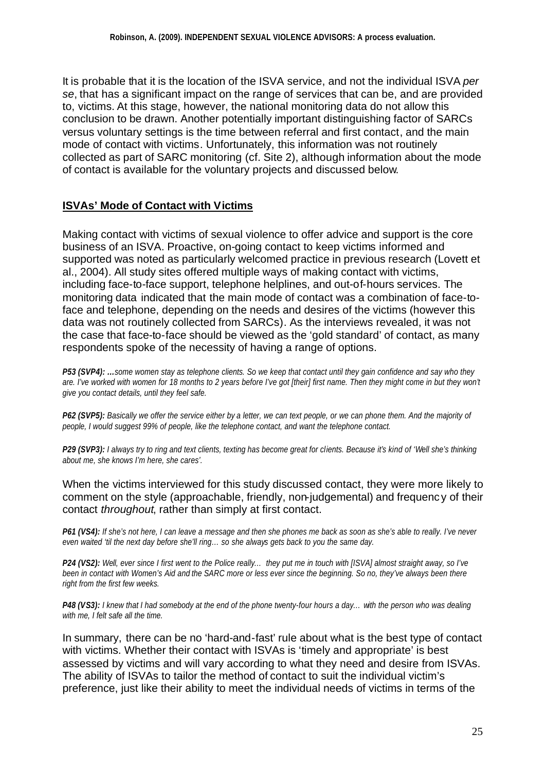It is probable that it is the location of the ISVA service, and not the individual ISVA *per se*, that has a significant impact on the range of services that can be, and are provided to, victims. At this stage, however, the national monitoring data do not allow this conclusion to be drawn. Another potentially important distinguishing factor of SARCs versus voluntary settings is the time between referral and first contact, and the main mode of contact with victims. Unfortunately, this information was not routinely collected as part of SARC monitoring (cf. Site 2), although information about the mode of contact is available for the voluntary projects and discussed below.

## **ISVAs' Mode of Contact with Victims**

Making contact with victims of sexual violence to offer advice and support is the core business of an ISVA. Proactive, on-going contact to keep victims informed and supported was noted as particularly welcomed practice in previous research (Lovett et al., 2004). All study sites offered multiple ways of making contact with victims, including face-to-face support, telephone helplines, and out-of-hours services. The monitoring data indicated that the main mode of contact was a combination of face-toface and telephone, depending on the needs and desires of the victims (however this data was not routinely collected from SARCs). As the interviews revealed, it was not the case that face-to-face should be viewed as the 'gold standard' of contact, as many respondents spoke of the necessity of having a range of options.

*P53 (SVP4): …some women stay as telephone clients. So we keep that contact until they gain confidence and say who they are. I've worked with women for 18 months to 2 years before I've got [their] first name. Then they might come in but they won't give you contact details, until they feel safe.* 

*P62 (SVP5): Basically we offer the service either by a letter, we can text people, or we can phone them. And the majority of people, I would suggest 99% of people, like the telephone contact, and want the telephone contact.*

*P29 (SVP3): I always try to ring and text clients, texting has become great for clients. Because it's kind of 'Well she's thinking about me, she knows I'm here, she cares'.* 

#### When the victims interviewed for this study discussed contact, they were more likely to comment on the style (approachable, friendly, non-judgemental) and frequency of their contact *throughout*, rather than simply at first contact.

*P61 (VS4): If she's not here, I can leave a message and then she phones me back as soon as she's able to really. I've never even waited 'til the next day before she'll ring… so she always gets back to you the same day.* 

*P24 (VS2): Well, ever since I first went to the Police really… they put me in touch with [ISVA] almost straight away, so I've been in contact with Women's Aid and the SARC more or less ever since the beginning. So no, they've always been there right from the first few weeks.*

*P48 (VS3): I knew that I had somebody at the end of the phone twenty-four hours a day… with the person who was dealing with me, I felt safe all the time.*

In summary, there can be no 'hard-and-fast' rule about what is the best type of contact with victims. Whether their contact with ISVAs is 'timely and appropriate' is best assessed by victims and will vary according to what they need and desire from ISVAs. The ability of ISVAs to tailor the method of contact to suit the individual victim's preference, just like their ability to meet the individual needs of victims in terms of the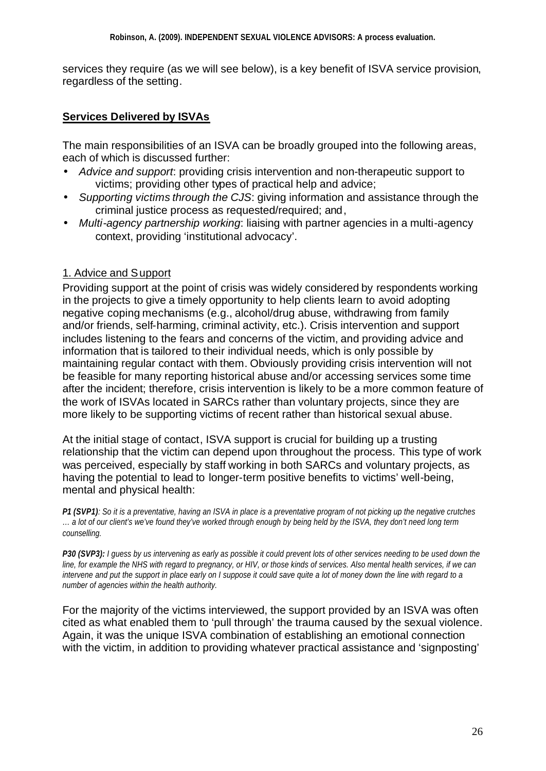services they require (as we will see below), is a key benefit of ISVA service provision, regardless of the setting.

### **Services Delivered by ISVAs**

The main responsibilities of an ISVA can be broadly grouped into the following areas, each of which is discussed further:

- *Advice and support*: providing crisis intervention and non-therapeutic support to victims; providing other types of practical help and advice;
- *Supporting victims through the CJS*: giving information and assistance through the criminal justice process as requested/required; and,
- *Multi-agency partnership working*: liaising with partner agencies in a multi-agency context, providing 'institutional advocacy'.

### 1. Advice and Support

Providing support at the point of crisis was widely considered by respondents working in the projects to give a timely opportunity to help clients learn to avoid adopting negative coping mechanisms (e.g., alcohol/drug abuse, withdrawing from family and/or friends, self-harming, criminal activity, etc.). Crisis intervention and support includes listening to the fears and concerns of the victim, and providing advice and information that is tailored to their individual needs, which is only possible by maintaining regular contact with them. Obviously providing crisis intervention will not be feasible for many reporting historical abuse and/or accessing services some time after the incident; therefore, crisis intervention is likely to be a more common feature of the work of ISVAs located in SARCs rather than voluntary projects, since they are more likely to be supporting victims of recent rather than historical sexual abuse.

At the initial stage of contact, ISVA support is crucial for building up a trusting relationship that the victim can depend upon throughout the process. This type of work was perceived, especially by staff working in both SARCs and voluntary projects, as having the potential to lead to longer-term positive benefits to victims' well-being, mental and physical health:

*P1 (SVP1): So it is a preventative, having an ISVA in place is a preventative program of not picking up the negative crutches … a lot of our client's we've found they've worked through enough by being held by the ISVA, they don't need long term counselling.*

*P30 (SVP3): I guess by us intervening as early as possible it could prevent lots of other services needing to be used down the line, for example the NHS with regard to pregnancy, or HIV, or those kinds of services. Also mental health services, if we can intervene and put the support in place early on I suppose it could save quite a lot of money down the line with regard to a number of agencies within the health authority.*

For the majority of the victims interviewed, the support provided by an ISVA was often cited as what enabled them to 'pull through' the trauma caused by the sexual violence. Again, it was the unique ISVA combination of establishing an emotional connection with the victim, in addition to providing whatever practical assistance and 'signposting'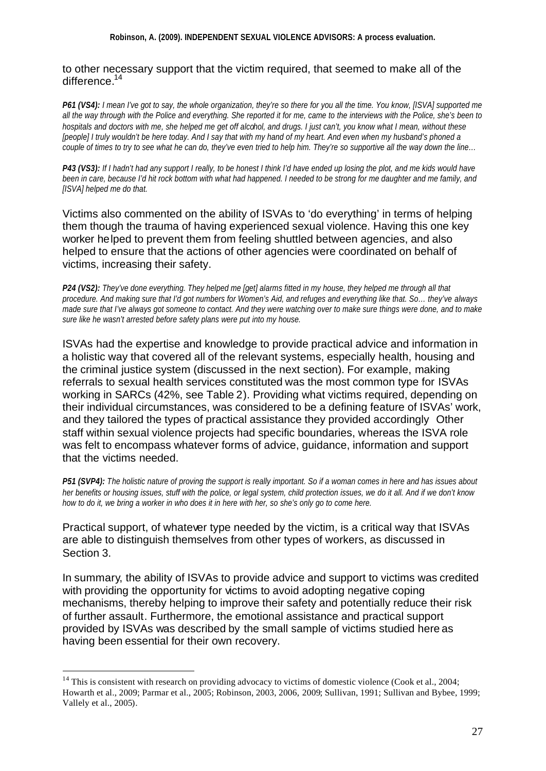#### **Robinson, A. (2009). INDEPENDENT SEXUAL VIOLENCE ADVISORS: A process evaluation.**

#### to other necessary support that the victim required, that seemed to make all of the difference.<sup>14</sup>

*P61 (VS4): I mean I've got to say, the whole organization, they're so there for you all the time. You know, [ISVA] supported me all the way through with the Police and everything. She reported it for me, came to the interviews with the Police, she's been to hospitals and doctors with me, she helped me get off alcohol, and drugs. I just can't, you know what I mean, without these [people] I truly wouldn't be here today. And I say that with my hand of my heart. And even when my husband's phoned a couple of times to try to see what he can do, they've even tried to help him. They're so supportive all the way down the line…*

*P43 (VS3): If I hadn't had any support I really, to be honest I think I'd have ended up losing the plot, and me kids would have been in care, because I'd hit rock bottom with what had happened. I needed to be strong for me daughter and me family, and [ISVA] helped me do that.* 

Victims also commented on the ability of ISVAs to 'do everything' in terms of helping them though the trauma of having experienced sexual violence. Having this one key worker helped to prevent them from feeling shuttled between agencies, and also helped to ensure that the actions of other agencies were coordinated on behalf of victims, increasing their safety.

*P24 (VS2): They've done everything. They helped me [get] alarms fitted in my house, they helped me through all that procedure. And making sure that I'd got numbers for Women's Aid, and refuges and everything like that. So… they've always made sure that I've always got someone to contact. And they were watching over to make sure things were done, and to make sure like he wasn't arrested before safety plans were put into my house.*

ISVAs had the expertise and knowledge to provide practical advice and information in a holistic way that covered all of the relevant systems, especially health, housing and the criminal justice system (discussed in the next section). For example, making referrals to sexual health services constituted was the most common type for ISVAs working in SARCs (42%, see Table 2). Providing what victims required, depending on their individual circumstances, was considered to be a defining feature of ISVAs' work, and they tailored the types of practical assistance they provided accordingly Other staff within sexual violence projects had specific boundaries, whereas the ISVA role was felt to encompass whatever forms of advice, guidance, information and support that the victims needed.

*P51 (SVP4): The holistic nature of proving the support is really important. So if a woman comes in here and has issues about her benefits or housing issues, stuff with the police, or legal system, child protection issues, we do it all. And if we don't know how to do it, we bring a worker in who does it in here with her, so she's only go to come here.*

Practical support, of whatever type needed by the victim, is a critical way that ISVAs are able to distinguish themselves from other types of workers, as discussed in Section 3.

In summary, the ability of ISVAs to provide advice and support to victims was credited with providing the opportunity for victims to avoid adopting negative coping mechanisms, thereby helping to improve their safety and potentially reduce their risk of further assault. Furthermore, the emotional assistance and practical support provided by ISVAs was described by the small sample of victims studied here as having been essential for their own recovery.

l

<sup>&</sup>lt;sup>14</sup> This is consistent with research on providing advocacy to victims of domestic violence (Cook et al., 2004; Howarth et al., 2009; Parmar et al., 2005; Robinson, 2003, 2006, 2009; Sullivan, 1991; Sullivan and Bybee, 1999; Vallely et al., 2005).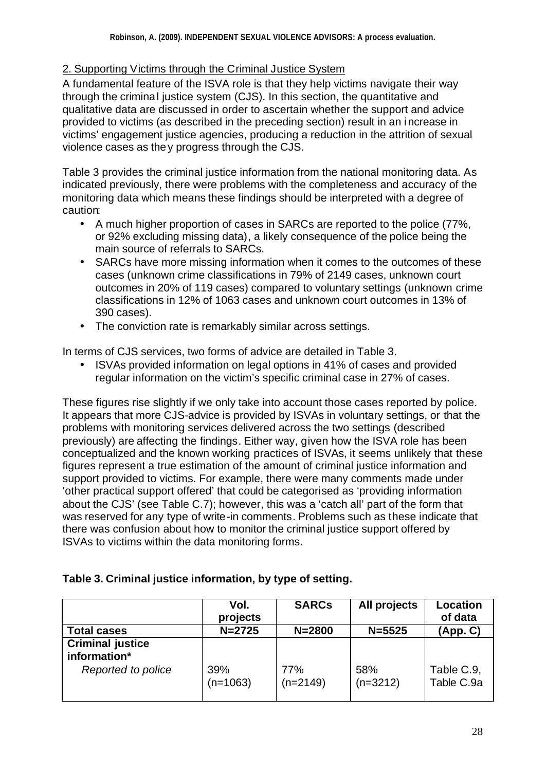## 2. Supporting Victims through the Criminal Justice System

A fundamental feature of the ISVA role is that they help victims navigate their way through the criminal justice system (CJS). In this section, the quantitative and qualitative data are discussed in order to ascertain whether the support and advice provided to victims (as described in the preceding section) result in an increase in victims' engagement justice agencies, producing a reduction in the attrition of sexual violence cases as they progress through the CJS.

Table 3 provides the criminal justice information from the national monitoring data. As indicated previously, there were problems with the completeness and accuracy of the monitoring data which means these findings should be interpreted with a degree of caution:

- A much higher proportion of cases in SARCs are reported to the police (77%, or 92% excluding missing data), a likely consequence of the police being the main source of referrals to SARCs.
- SARCs have more missing information when it comes to the outcomes of these cases (unknown crime classifications in 79% of 2149 cases, unknown court outcomes in 20% of 119 cases) compared to voluntary settings (unknown crime classifications in 12% of 1063 cases and unknown court outcomes in 13% of 390 cases).
- The conviction rate is remarkably similar across settings.

In terms of CJS services, two forms of advice are detailed in Table 3.

• ISVAs provided information on legal options in 41% of cases and provided regular information on the victim's specific criminal case in 27% of cases.

These figures rise slightly if we only take into account those cases reported by police. It appears that more CJS-advice is provided by ISVAs in voluntary settings, or that the problems with monitoring services delivered across the two settings (described previously) are affecting the findings. Either way, given how the ISVA role has been conceptualized and the known working practices of ISVAs, it seems unlikely that these figures represent a true estimation of the amount of criminal justice information and support provided to victims. For example, there were many comments made under 'other practical support offered' that could be categorised as 'providing information about the CJS' (see Table C.7); however, this was a 'catch all' part of the form that was reserved for any type of write-in comments. Problems such as these indicate that there was confusion about how to monitor the criminal justice support offered by ISVAs to victims within the data monitoring forms.

| Table 3. Criminal justice information, by type of setting. |  |  |  |  |
|------------------------------------------------------------|--|--|--|--|
|------------------------------------------------------------|--|--|--|--|

|                                                               | Vol.<br>projects  | <b>SARCs</b>      | All projects      | Location<br>of data      |
|---------------------------------------------------------------|-------------------|-------------------|-------------------|--------------------------|
| <b>Total cases</b>                                            | $N = 2725$        | $N = 2800$        | $N = 5525$        | (App. C)                 |
| <b>Criminal justice</b><br>information*<br>Reported to police | 39%<br>$(n=1063)$ | 77%<br>$(n=2149)$ | 58%<br>$(n=3212)$ | Table C.9,<br>Table C.9a |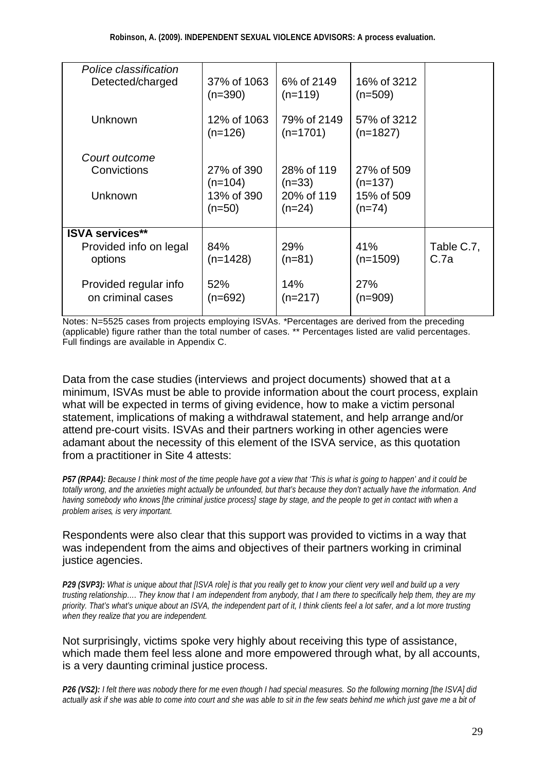| Police classification<br>Detected/charged | 37% of 1063<br>$(n=390)$ | 6% of 2149<br>$(n=119)$   | 16% of 3212<br>$(n=509)$  |            |
|-------------------------------------------|--------------------------|---------------------------|---------------------------|------------|
| Unknown                                   | 12% of 1063<br>$(n=126)$ | 79% of 2149<br>$(n=1701)$ | 57% of 3212<br>$(n=1827)$ |            |
| Court outcome                             |                          |                           |                           |            |
|                                           |                          |                           |                           |            |
| Convictions                               | 27% of 390               | 28% of 119                | 27% of 509                |            |
|                                           | $(n=104)$                | $(n=33)$                  | $(n=137)$                 |            |
| Unknown                                   | 13% of 390               | 20% of 119                | 15% of 509                |            |
|                                           | $(n=50)$                 | $(n=24)$                  | $(n=74)$                  |            |
|                                           |                          |                           |                           |            |
| <b>ISVA services**</b>                    |                          |                           |                           |            |
| Provided info on legal                    | 84%                      | 29%                       | 41%                       | Table C.7, |
| options                                   | $(n=1428)$               | $(n=81)$                  | $(n=1509)$                | C.7a       |
|                                           |                          |                           |                           |            |
| Provided regular info                     | 52%                      | 14%                       | 27%                       |            |
| on criminal cases                         | $(n=692)$                | $(n=217)$                 | $(n=909)$                 |            |
|                                           |                          |                           |                           |            |
|                                           |                          |                           |                           |            |

Notes: N=5525 cases from projects employing ISVAs. \*Percentages are derived from the preceding (applicable) figure rather than the total number of cases. \*\* Percentages listed are valid percentages. Full findings are available in Appendix C.

Data from the case studies (interviews and project documents) showed that at a minimum, ISVAs must be able to provide information about the court process, explain what will be expected in terms of giving evidence, how to make a victim personal statement, implications of making a withdrawal statement, and help arrange and/or attend pre-court visits. ISVAs and their partners working in other agencies were adamant about the necessity of this element of the ISVA service, as this quotation from a practitioner in Site 4 attests:

*P57 (RPA4): Because I think most of the time people have got a view that 'This is what is going to happen' and it could be totally wrong, and the anxieties might actually be unfounded, but that's because they don't actually have the information. And having somebody who knows [the criminal justice process] stage by stage, and the people to get in contact with when a problem arises, is very important.* 

#### Respondents were also clear that this support was provided to victims in a way that was independent from the aims and objectives of their partners working in criminal justice agencies.

*P29 (SVP3): What is unique about that [ISVA role] is that you really get to know your client very well and build up a very trusting relationship…. They know that I am independent from anybody, that I am there to specifically help them, they are my priority. That's what's unique about an ISVA, the independent part of it, I think clients feel a lot safer, and a lot more trusting when they realize that you are independent.* 

Not surprisingly, victims spoke very highly about receiving this type of assistance, which made them feel less alone and more empowered through what, by all accounts, is a very daunting criminal justice process.

*P26 (VS2): I felt there was nobody there for me even though I had special measures. So the following morning [the ISVA] did actually ask if she was able to come into court and she was able to sit in the few seats behind me which just gave me a bit of*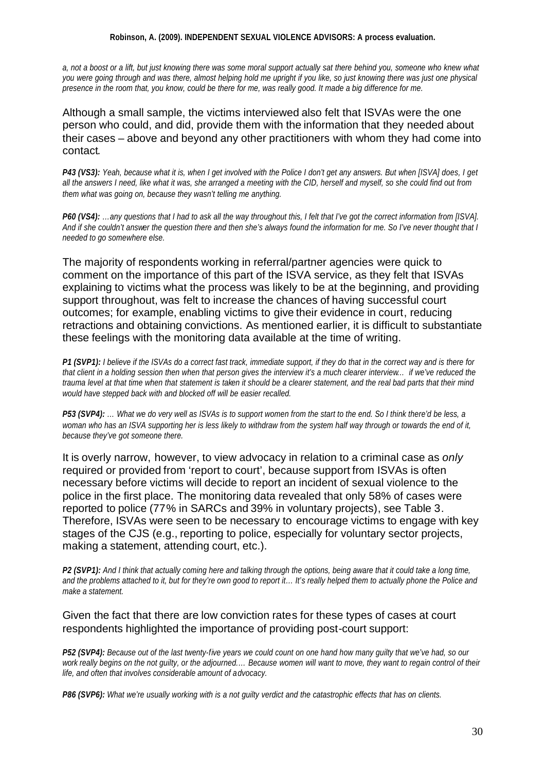#### **Robinson, A. (2009). INDEPENDENT SEXUAL VIOLENCE ADVISORS: A process evaluation.**

*a, not a boost or a lift, but just knowing there was some moral support actually sat there behind you, someone who knew what you were going through and was there, almost helping hold me upright if you like, so just knowing there was just one physical presence in the room that, you know, could be there for me, was really good. It made a big difference for me.*

Although a small sample, the victims interviewed also felt that ISVAs were the one person who could, and did, provide them with the information that they needed about their cases – above and beyond any other practitioners with whom they had come into contact.

*P43 (VS3): Yeah, because what it is, when I get involved with the Police I don't get any answers. But when [ISVA] does, I get all the answers I need, like what it was, she arranged a meeting with the CID, herself and myself, so she could find out from them what was going on, because they wasn't telling me anything.*

*P60 (VS4): …any questions that I had to ask all the way throughout this, I felt that I've got the correct information from [ISVA]. And if she couldn't answer the question there and then she's always found the information for me. So I've never thought that I needed to go somewhere else.*

The majority of respondents working in referral/partner agencies were quick to comment on the importance of this part of the ISVA service, as they felt that ISVAs explaining to victims what the process was likely to be at the beginning, and providing support throughout, was felt to increase the chances of having successful court outcomes; for example, enabling victims to give their evidence in court, reducing retractions and obtaining convictions. As mentioned earlier, it is difficult to substantiate these feelings with the monitoring data available at the time of writing.

*P1 (SVP1): I believe if the ISVAs do a correct fast track, immediate support, if they do that in the correct way and is there for that client in a holding session then when that person gives the interview it's a much clearer interview… if we've reduced the trauma level at that time when that statement is taken it should be a clearer statement, and the real bad parts that their mind would have stepped back with and blocked off will be easier recalled.*

*P53 (SVP4): … What we do very well as ISVAs is to support women from the start to the end. So I think there'd be less, a woman who has an ISVA supporting her is less likely to withdraw from the system half way through or towards the end of it, because they've got someone there.* 

It is overly narrow, however, to view advocacy in relation to a criminal case as *only* required or provided from 'report to court', because support from ISVAs is often necessary before victims will decide to report an incident of sexual violence to the police in the first place. The monitoring data revealed that only 58% of cases were reported to police (77% in SARCs and 39% in voluntary projects), see Table 3. Therefore, ISVAs were seen to be necessary to encourage victims to engage with key stages of the CJS (e.g., reporting to police, especially for voluntary sector projects, making a statement, attending court, etc.).

*P2 (SVP1): And I think that actually coming here and talking through the options, being aware that it could take a long time, and the problems attached to it, but for they're own good to report it… It's really helped them to actually phone the Police and make a statement.*

#### Given the fact that there are low conviction rates for these types of cases at court respondents highlighted the importance of providing post-court support:

*P52 (SVP4): Because out of the last twenty-five years we could count on one hand how many guilty that we've had, so our work really begins on the not guilty, or the adjourned.… Because women will want to move, they want to regain control of their life, and often that involves considerable amount of advocacy.*

*P86 (SVP6): What we're usually working with is a not guilty verdict and the catastrophic effects that has on clients.*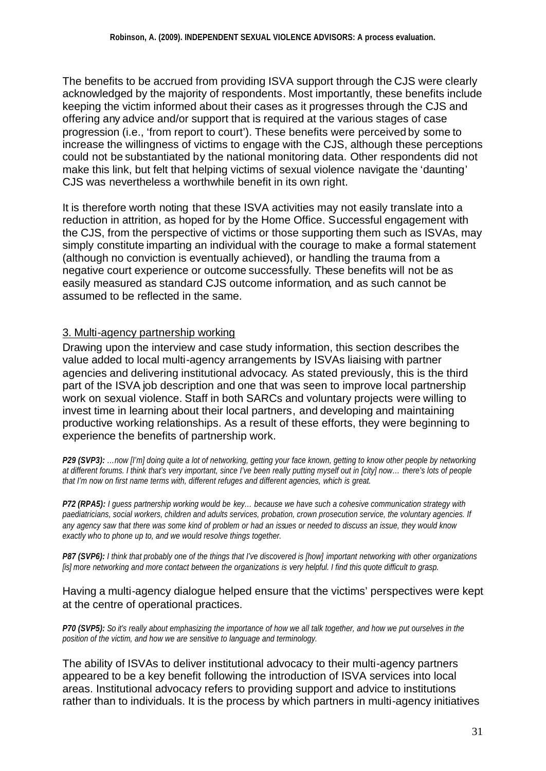The benefits to be accrued from providing ISVA support through the CJS were clearly acknowledged by the majority of respondents. Most importantly, these benefits include keeping the victim informed about their cases as it progresses through the CJS and offering any advice and/or support that is required at the various stages of case progression (i.e., 'from report to court'). These benefits were perceived by some to increase the willingness of victims to engage with the CJS, although these perceptions could not be substantiated by the national monitoring data. Other respondents did not make this link, but felt that helping victims of sexual violence navigate the 'daunting' CJS was nevertheless a worthwhile benefit in its own right.

It is therefore worth noting that these ISVA activities may not easily translate into a reduction in attrition, as hoped for by the Home Office. Successful engagement with the CJS, from the perspective of victims or those supporting them such as ISVAs, may simply constitute imparting an individual with the courage to make a formal statement (although no conviction is eventually achieved), or handling the trauma from a negative court experience or outcome successfully. These benefits will not be as easily measured as standard CJS outcome information, and as such cannot be assumed to be reflected in the same.

### 3. Multi-agency partnership working

Drawing upon the interview and case study information, this section describes the value added to local multi-agency arrangements by ISVAs liaising with partner agencies and delivering institutional advocacy. As stated previously, this is the third part of the ISVA job description and one that was seen to improve local partnership work on sexual violence. Staff in both SARCs and voluntary projects were willing to invest time in learning about their local partners, and developing and maintaining productive working relationships. As a result of these efforts, they were beginning to experience the benefits of partnership work.

*P29 (SVP3): …now [I'm] doing quite a lot of networking, getting your face known, getting to know other people by networking at different forums. I think that's very important, since I've been really putting myself out in [city] now… there's lots of people that I'm now on first name terms with, different refuges and different agencies, which is great.*

*P72 (RPA5): I guess partnership working would be key… because we have such a cohesive communication strategy with paediatricians, social workers, children and adults services, probation, crown prosecution service, the voluntary agencies. If any agency saw that there was some kind of problem or had an issues or needed to discuss an issue, they would know exactly who to phone up to, and we would resolve things together.* 

*P87 (SVP6): I think that probably one of the things that I've discovered is [how] important networking with other organizations [is] more networking and more contact between the organizations is very helpful. I find this quote difficult to grasp.*

#### Having a multi-agency dialogue helped ensure that the victims' perspectives were kept at the centre of operational practices.

*P70 (SVP5): So it's really about emphasizing the importance of how we all talk together, and how we put ourselves in the position of the victim, and how we are sensitive to language and terminology.*

The ability of ISVAs to deliver institutional advocacy to their multi-agency partners appeared to be a key benefit following the introduction of ISVA services into local areas. Institutional advocacy refers to providing support and advice to institutions rather than to individuals. It is the process by which partners in multi-agency initiatives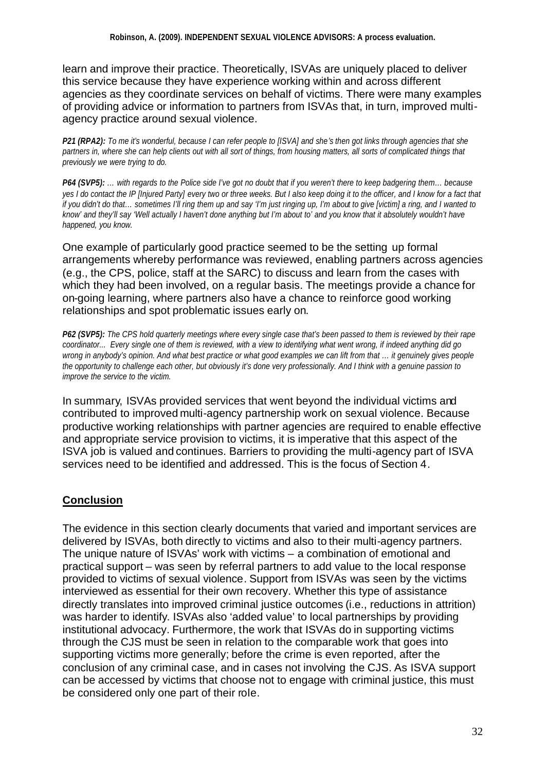learn and improve their practice. Theoretically, ISVAs are uniquely placed to deliver this service because they have experience working within and across different agencies as they coordinate services on behalf of victims. There were many examples of providing advice or information to partners from ISVAs that, in turn, improved multiagency practice around sexual violence.

*P21 (RPA2): To me it's wonderful, because I can refer people to [ISVA] and she's then got links through agencies that she partners in, where she can help clients out with all sort of things, from housing matters, all sorts of complicated things that previously we were trying to do.*

*P64 (SVP5): … with regards to the Police side I've got no doubt that if you weren't there to keep badgering them… because yes I do contact the IP [Injured Party] every two or three weeks. But I also keep doing it to the officer, and I know for a fact that if you didn't do that… sometimes I'll ring them up and say 'I'm just ringing up, I'm about to give [victim] a ring, and I wanted to know' and they'll say 'Well actually I haven't done anything but I'm about to' and you know that it absolutely wouldn't have happened, you know.*

One example of particularly good practice seemed to be the setting up formal arrangements whereby performance was reviewed, enabling partners across agencies (e.g., the CPS, police, staff at the SARC) to discuss and learn from the cases with which they had been involved, on a regular basis. The meetings provide a chance for on-going learning, where partners also have a chance to reinforce good working relationships and spot problematic issues early on.

*P62 (SVP5): The CPS hold quarterly meetings where every single case that's been passed to them is reviewed by their rape coordinator... Every single one of them is reviewed, with a view to identifying what went wrong, if indeed anything did go wrong in anybody's opinion. And what best practice or what good examples we can lift from that … it genuinely gives people the opportunity to challenge each other, but obviously it's done very professionally. And I think with a genuine passion to improve the service to the victim.*

In summary, ISVAs provided services that went beyond the individual victims and contributed to improved multi-agency partnership work on sexual violence. Because productive working relationships with partner agencies are required to enable effective and appropriate service provision to victims, it is imperative that this aspect of the ISVA job is valued and continues. Barriers to providing the multi-agency part of ISVA services need to be identified and addressed. This is the focus of Section 4.

## **Conclusion**

The evidence in this section clearly documents that varied and important services are delivered by ISVAs, both directly to victims and also to their multi-agency partners. The unique nature of ISVAs' work with victims – a combination of emotional and practical support – was seen by referral partners to add value to the local response provided to victims of sexual violence. Support from ISVAs was seen by the victims interviewed as essential for their own recovery. Whether this type of assistance directly translates into improved criminal justice outcomes (i.e., reductions in attrition) was harder to identify. ISVAs also 'added value' to local partnerships by providing institutional advocacy. Furthermore, the work that ISVAs do in supporting victims through the CJS must be seen in relation to the comparable work that goes into supporting victims more generally; before the crime is even reported, after the conclusion of any criminal case, and in cases not involving the CJS. As ISVA support can be accessed by victims that choose not to engage with criminal justice, this must be considered only one part of their role.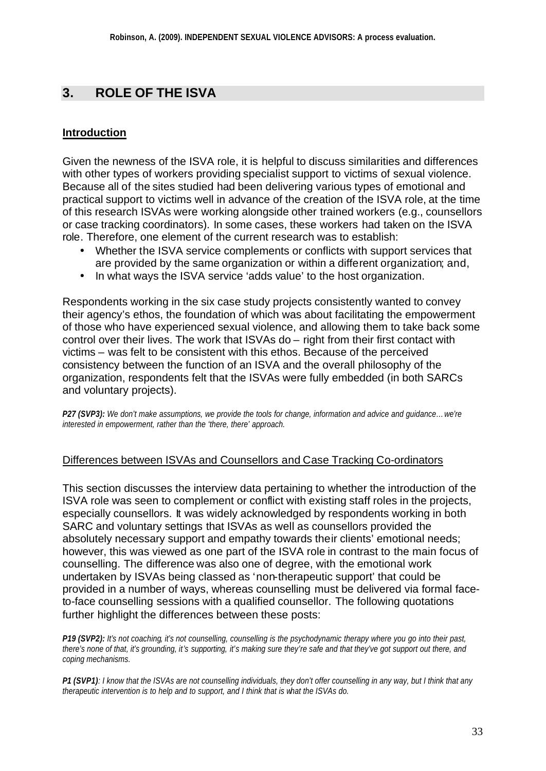## **3. ROLE OF THE ISVA**

### **Introduction**

Given the newness of the ISVA role, it is helpful to discuss similarities and differences with other types of workers providing specialist support to victims of sexual violence. Because all of the sites studied had been delivering various types of emotional and practical support to victims well in advance of the creation of the ISVA role, at the time of this research ISVAs were working alongside other trained workers (e.g., counsellors or case tracking coordinators). In some cases, these workers had taken on the ISVA role. Therefore, one element of the current research was to establish:

- Whether the ISVA service complements or conflicts with support services that are provided by the same organization or within a different organization; and,
- In what ways the ISVA service 'adds value' to the host organization.

Respondents working in the six case study projects consistently wanted to convey their agency's ethos, the foundation of which was about facilitating the empowerment of those who have experienced sexual violence, and allowing them to take back some control over their lives. The work that ISVAs do – right from their first contact with victims – was felt to be consistent with this ethos. Because of the perceived consistency between the function of an ISVA and the overall philosophy of the organization, respondents felt that the ISVAs were fully embedded (in both SARCs and voluntary projects).

*P27 (SVP3): We don't make assumptions, we provide the tools for change, information and advice and guidance…we're interested in empowerment, rather than the 'there, there' approach.*

#### Differences between ISVAs and Counsellors and Case Tracking Co-ordinators

This section discusses the interview data pertaining to whether the introduction of the ISVA role was seen to complement or conflict with existing staff roles in the projects, especially counsellors. It was widely acknowledged by respondents working in both SARC and voluntary settings that ISVAs as well as counsellors provided the absolutely necessary support and empathy towards their clients' emotional needs; however, this was viewed as one part of the ISVA role in contrast to the main focus of counselling. The difference was also one of degree, with the emotional work undertaken by ISVAs being classed as 'non-therapeutic support' that could be provided in a number of ways, whereas counselling must be delivered via formal faceto-face counselling sessions with a qualified counsellor. The following quotations further highlight the differences between these posts:

*P19 (SVP2): It's not coaching, it's not counselling, counselling is the psychodynamic therapy where you go into their past, there's none of that, it's grounding, it's supporting, it's making sure they're safe and that they've got support out there, and coping mechanisms.*

*P1 (SVP1): I know that the ISVAs are not counselling individuals, they don't offer counselling in any way, but I think that any therapeutic intervention is to help and to support, and I think that is what the ISVAs do.*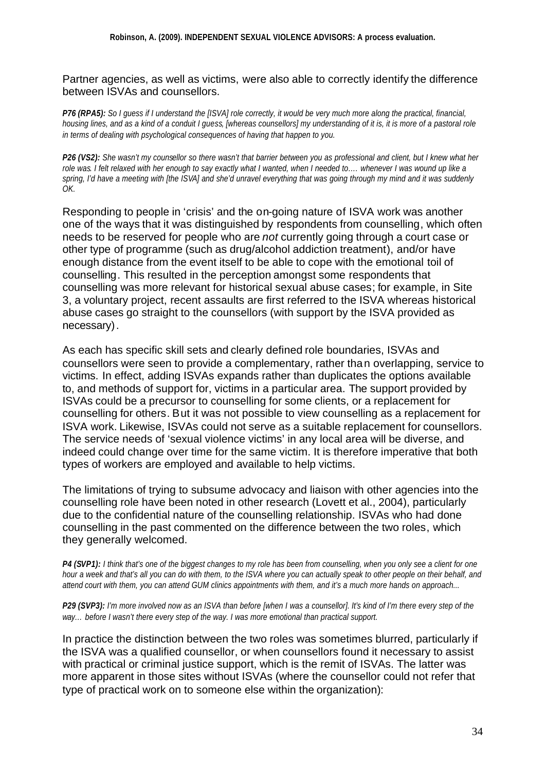Partner agencies, as well as victims, were also able to correctly identify the difference between ISVAs and counsellors.

*P76 (RPA5): So I guess if I understand the [ISVA] role correctly, it would be very much more along the practical, financial, housing lines, and as a kind of a conduit I guess, [whereas counsellors] my understanding of it is, it is more of a pastoral role in terms of dealing with psychological consequences of having that happen to you.* 

*P26 (VS2): She wasn't my counsellor so there wasn't that barrier between you as professional and client, but I knew what her role was. I felt relaxed with her enough to say exactly what I wanted, when I needed to…. whenever I was wound up like a spring, I'd have a meeting with [the ISVA] and she'd unravel everything that was going through my mind and it was suddenly OK.*

Responding to people in 'crisis' and the on-going nature of ISVA work was another one of the ways that it was distinguished by respondents from counselling, which often needs to be reserved for people who are *not* currently going through a court case or other type of programme (such as drug/alcohol addiction treatment), and/or have enough distance from the event itself to be able to cope with the emotional toil of counselling. This resulted in the perception amongst some respondents that counselling was more relevant for historical sexual abuse cases; for example, in Site 3, a voluntary project, recent assaults are first referred to the ISVA whereas historical abuse cases go straight to the counsellors (with support by the ISVA provided as necessary).

As each has specific skill sets and clearly defined role boundaries, ISVAs and counsellors were seen to provide a complementary, rather than overlapping, service to victims. In effect, adding ISVAs expands rather than duplicates the options available to, and methods of support for, victims in a particular area. The support provided by ISVAs could be a precursor to counselling for some clients, or a replacement for counselling for others. But it was not possible to view counselling as a replacement for ISVA work. Likewise, ISVAs could not serve as a suitable replacement for counsellors. The service needs of 'sexual violence victims' in any local area will be diverse, and indeed could change over time for the same victim. It is therefore imperative that both types of workers are employed and available to help victims.

The limitations of trying to subsume advocacy and liaison with other agencies into the counselling role have been noted in other research (Lovett et al., 2004), particularly due to the confidential nature of the counselling relationship. ISVAs who had done counselling in the past commented on the difference between the two roles, which they generally welcomed.

*P4 (SVP1): I think that's one of the biggest changes to my role has been from counselling, when you only see a client for one hour a week and that's all you can do with them, to the ISVA where you can actually speak to other people on their behalf, and attend court with them, you can attend GUM clinics appointments with them, and it's a much more hands on approach...* 

*P29 (SVP3): I'm more involved now as an ISVA than before [when I was a counsellor]. It's kind of I'm there every step of the way… before I wasn't there every step of the way. I was more emotional than practical support.*

In practice the distinction between the two roles was sometimes blurred, particularly if the ISVA was a qualified counsellor, or when counsellors found it necessary to assist with practical or criminal justice support, which is the remit of ISVAs. The latter was more apparent in those sites without ISVAs (where the counsellor could not refer that type of practical work on to someone else within the organization):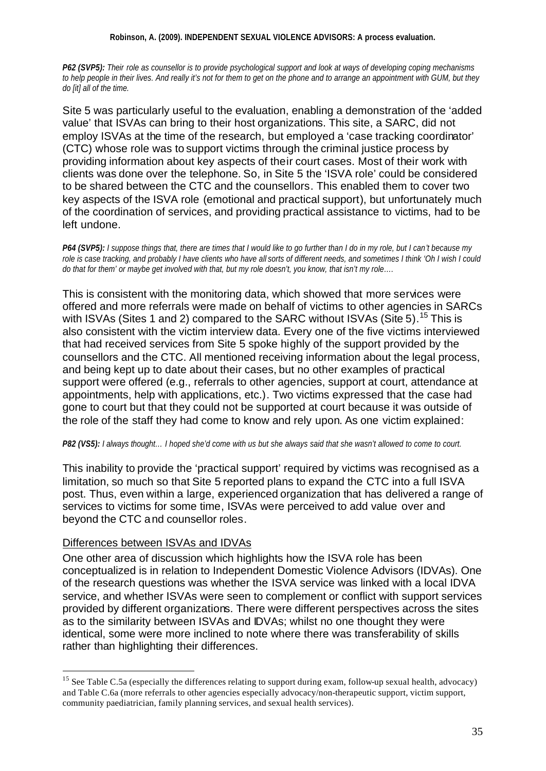#### **Robinson, A. (2009). INDEPENDENT SEXUAL VIOLENCE ADVISORS: A process evaluation.**

*P62 (SVP5): Their role as counsellor is to provide psychological support and look at ways of developing coping mechanisms to help people in their lives. And really it's not for them to get on the phone and to arrange an appointment with GUM, but they do [it] all of the time.*

Site 5 was particularly useful to the evaluation, enabling a demonstration of the 'added value' that ISVAs can bring to their host organizations. This site, a SARC, did not employ ISVAs at the time of the research, but employed a 'case tracking coordinator' (CTC) whose role was to support victims through the criminal justice process by providing information about key aspects of their court cases. Most of their work with clients was done over the telephone. So, in Site 5 the 'ISVA role' could be considered to be shared between the CTC and the counsellors. This enabled them to cover two key aspects of the ISVA role (emotional and practical support), but unfortunately much of the coordination of services, and providing practical assistance to victims, had to be left undone.

*P64 (SVP5): I suppose things that, there are times that I would like to go further than I do in my role, but I can't because my*  role is case tracking, and probably I have clients who have all sorts of different needs, and sometimes I think 'Oh I wish I could *do that for them' or maybe get involved with that, but my role doesn't, you know, that isn't my role….* 

This is consistent with the monitoring data, which showed that more services were offered and more referrals were made on behalf of victims to other agencies in SARCs with ISVAs (Sites 1 and 2) compared to the SARC without ISVAs (Site 5).<sup>15</sup> This is also consistent with the victim interview data. Every one of the five victims interviewed that had received services from Site 5 spoke highly of the support provided by the counsellors and the CTC. All mentioned receiving information about the legal process, and being kept up to date about their cases, but no other examples of practical support were offered (e.g., referrals to other agencies, support at court, attendance at appointments, help with applications, etc.). Two victims expressed that the case had gone to court but that they could not be supported at court because it was outside of the role of the staff they had come to know and rely upon. As one victim explained:

*P82 (VS5): I always thought… I hoped she'd come with us but she always said that she wasn't allowed to come to court.*

This inability to provide the 'practical support' required by victims was recognised as a limitation, so much so that Site 5 reported plans to expand the CTC into a full ISVA post. Thus, even within a large, experienced organization that has delivered a range of services to victims for some time, ISVAs were perceived to add value over and beyond the CTC and counsellor roles.

#### Differences between ISVAs and IDVAs

l

One other area of discussion which highlights how the ISVA role has been conceptualized is in relation to Independent Domestic Violence Advisors (IDVAs). One of the research questions was whether the ISVA service was linked with a local IDVA service, and whether ISVAs were seen to complement or conflict with support services provided by different organizations. There were different perspectives across the sites as to the similarity between ISVAs and IDVAs; whilst no one thought they were identical, some were more inclined to note where there was transferability of skills rather than highlighting their differences.

<sup>&</sup>lt;sup>15</sup> See Table C.5a (especially the differences relating to support during exam, follow-up sexual health, advocacy) and Table C.6a (more referrals to other agencies especially advocacy/non-therapeutic support, victim support, community paediatrician, family planning services, and sexual health services).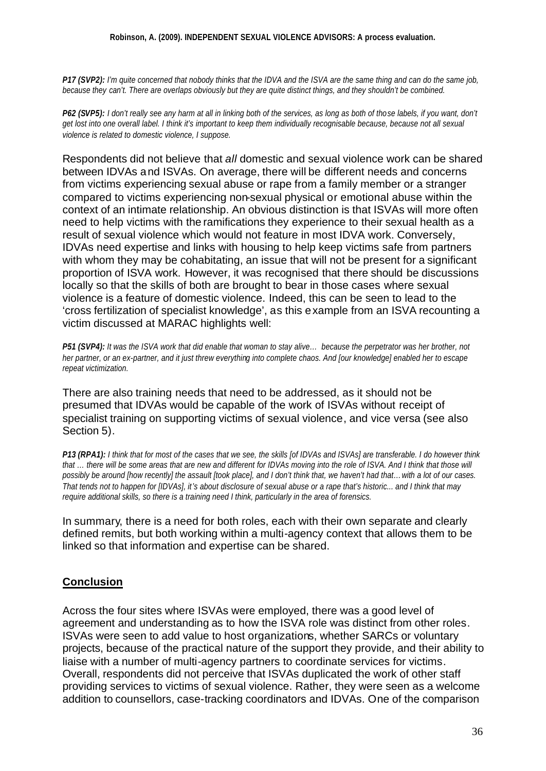#### **Robinson, A. (2009). INDEPENDENT SEXUAL VIOLENCE ADVISORS: A process evaluation.**

*P17 (SVP2): I'm quite concerned that nobody thinks that the IDVA and the ISVA are the same thing and can do the same job, because they can't. There are overlaps obviously but they are quite distinct things, and they shouldn't be combined.* 

*P62 (SVP5): I don't really see any harm at all in linking both of the services, as long as both of those labels, if you want, don't get lost into one overall label. I think it's important to keep them individually recognisable because, because not all sexual violence is related to domestic violence, I suppose.*

Respondents did not believe that *all* domestic and sexual violence work can be shared between IDVAs and ISVAs. On average, there will be different needs and concerns from victims experiencing sexual abuse or rape from a family member or a stranger compared to victims experiencing non-sexual physical or emotional abuse within the context of an intimate relationship. An obvious distinction is that ISVAs will more often need to help victims with the ramifications they experience to their sexual health as a result of sexual violence which would not feature in most IDVA work. Conversely, IDVAs need expertise and links with housing to help keep victims safe from partners with whom they may be cohabitating, an issue that will not be present for a significant proportion of ISVA work. However, it was recognised that there should be discussions locally so that the skills of both are brought to bear in those cases where sexual violence is a feature of domestic violence. Indeed, this can be seen to lead to the 'cross fertilization of specialist knowledge', as this example from an ISVA recounting a victim discussed at MARAC highlights well:

*P51 (SVP4): It was the ISVA work that did enable that woman to stay alive… because the perpetrator was her brother, not her partner, or an ex-partner, and it just threw everything into complete chaos. And [our knowledge] enabled her to escape repeat victimization.*

There are also training needs that need to be addressed, as it should not be presumed that IDVAs would be capable of the work of ISVAs without receipt of specialist training on supporting victims of sexual violence, and vice versa (see also Section 5).

*P13 (RPA1): I think that for most of the cases that we see, the skills [of IDVAs and ISVAs] are transferable. I do however think*  that ... there will be some areas that are new and different for IDVAs moving into the role of ISVA. And I think that those will *possibly be around [how recently] the assault [took place], and I don't think that, we haven't had that…with a lot of our cases. That tends not to happen for [IDVAs], it's about disclosure of sexual abuse or a rape that's historic... and I think that may require additional skills, so there is a training need I think, particularly in the area of forensics.*

In summary, there is a need for both roles, each with their own separate and clearly defined remits, but both working within a multi-agency context that allows them to be linked so that information and expertise can be shared.

#### **Conclusion**

Across the four sites where ISVAs were employed, there was a good level of agreement and understanding as to how the ISVA role was distinct from other roles. ISVAs were seen to add value to host organizations, whether SARCs or voluntary projects, because of the practical nature of the support they provide, and their ability to liaise with a number of multi-agency partners to coordinate services for victims. Overall, respondents did not perceive that ISVAs duplicated the work of other staff providing services to victims of sexual violence. Rather, they were seen as a welcome addition to counsellors, case-tracking coordinators and IDVAs. One of the comparison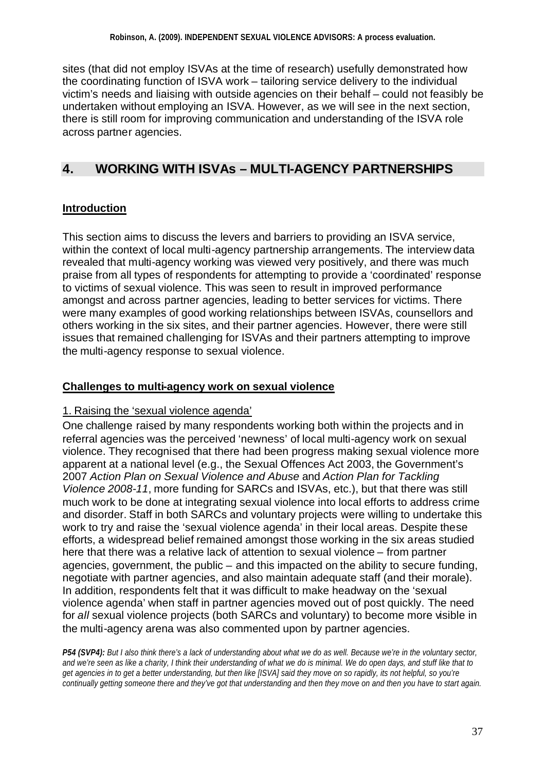sites (that did not employ ISVAs at the time of research) usefully demonstrated how the coordinating function of ISVA work – tailoring service delivery to the individual victim's needs and liaising with outside agencies on their behalf – could not feasibly be undertaken without employing an ISVA. However, as we will see in the next section, there is still room for improving communication and understanding of the ISVA role across partner agencies.

## **4. WORKING WITH ISVAs – MULTI-AGENCY PARTNERSHIPS**

## **Introduction**

This section aims to discuss the levers and barriers to providing an ISVA service, within the context of local multi-agency partnership arrangements. The interview data revealed that multi-agency working was viewed very positively, and there was much praise from all types of respondents for attempting to provide a 'coordinated' response to victims of sexual violence. This was seen to result in improved performance amongst and across partner agencies, leading to better services for victims. There were many examples of good working relationships between ISVAs, counsellors and others working in the six sites, and their partner agencies. However, there were still issues that remained challenging for ISVAs and their partners attempting to improve the multi-agency response to sexual violence.

### **Challenges to multi-agency work on sexual violence**

#### 1. Raising the 'sexual violence agenda'

One challenge raised by many respondents working both within the projects and in referral agencies was the perceived 'newness' of local multi-agency work on sexual violence. They recognised that there had been progress making sexual violence more apparent at a national level (e.g., the Sexual Offences Act 2003, the Government's 2007 *Action Plan on Sexual Violence and Abuse* and *Action Plan for Tackling Violence 2008-11*, more funding for SARCs and ISVAs, etc.), but that there was still much work to be done at integrating sexual violence into local efforts to address crime and disorder. Staff in both SARCs and voluntary projects were willing to undertake this work to try and raise the 'sexual violence agenda' in their local areas. Despite these efforts, a widespread belief remained amongst those working in the six areas studied here that there was a relative lack of attention to sexual violence – from partner agencies, government, the public – and this impacted on the ability to secure funding, negotiate with partner agencies, and also maintain adequate staff (and their morale). In addition, respondents felt that it was difficult to make headway on the 'sexual violence agenda' when staff in partner agencies moved out of post quickly. The need for *all* sexual violence projects (both SARCs and voluntary) to become more visible in the multi-agency arena was also commented upon by partner agencies.

*P54 (SVP4): But I also think there's a lack of understanding about what we do as well. Because we're in the voluntary sector, and we're seen as like a charity, I think their understanding of what we do is minimal. We do open days, and stuff like that to get agencies in to get a better understanding, but then like [ISVA] said they move on so rapidly, its not helpful, so you're continually getting someone there and they've got that understanding and then they move on and then you have to start again.*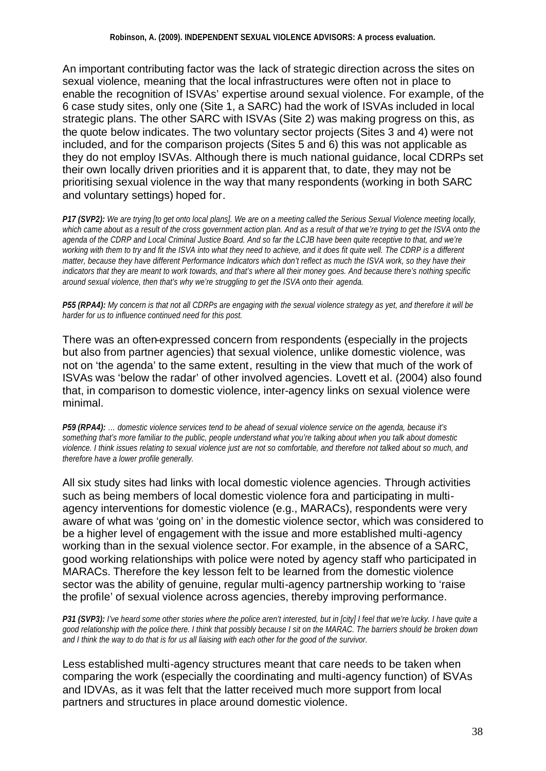An important contributing factor was the lack of strategic direction across the sites on sexual violence, meaning that the local infrastructures were often not in place to enable the recognition of ISVAs' expertise around sexual violence. For example, of the 6 case study sites, only one (Site 1, a SARC) had the work of ISVAs included in local strategic plans. The other SARC with ISVAs (Site 2) was making progress on this, as the quote below indicates. The two voluntary sector projects (Sites 3 and 4) were not included, and for the comparison projects (Sites 5 and 6) this was not applicable as they do not employ ISVAs. Although there is much national guidance, local CDRPs set their own locally driven priorities and it is apparent that, to date, they may not be prioritising sexual violence in the way that many respondents (working in both SARC and voluntary settings) hoped for.

*P17 (SVP2): We are trying [to get onto local plans]. We are on a meeting called the Serious Sexual Violence meeting locally, which came about as a result of the cross government action plan. And as a result of that we're trying to get the ISVA onto the agenda of the CDRP and Local Criminal Justice Board. And so far the LCJB have been quite receptive to that, and we're working with them to try and fit the ISVA into what they need to achieve, and it does fit quite well. The CDRP is a different matter, because they have different Performance Indicators which don't reflect as much the ISVA work, so they have their indicators that they are meant to work towards, and that's where all their money goes. And because there's nothing specific around sexual violence, then that's why we're struggling to get the ISVA onto their agenda.* 

*P55 (RPA4): My concern is that not all CDRPs are engaging with the sexual violence strategy as yet, and therefore it will be harder for us to influence continued need for this post.*

There was an often-expressed concern from respondents (especially in the projects but also from partner agencies) that sexual violence, unlike domestic violence, was not on 'the agenda' to the same extent, resulting in the view that much of the work of ISVAs was 'below the radar' of other involved agencies. Lovett et al. (2004) also found that, in comparison to domestic violence, inter-agency links on sexual violence were minimal.

*P59 (RPA4): … domestic violence services tend to be ahead of sexual violence service on the agenda, because it's something that's more familiar to the public, people understand what you're talking about when you talk about domestic violence. I think issues relating to sexual violence just are not so comfortable, and therefore not talked about so much, and therefore have a lower profile generally.* 

All six study sites had links with local domestic violence agencies. Through activities such as being members of local domestic violence fora and participating in multiagency interventions for domestic violence (e.g., MARACs), respondents were very aware of what was 'going on' in the domestic violence sector, which was considered to be a higher level of engagement with the issue and more established multi-agency working than in the sexual violence sector. For example, in the absence of a SARC, good working relationships with police were noted by agency staff who participated in MARACs. Therefore the key lesson felt to be learned from the domestic violence sector was the ability of genuine, regular multi-agency partnership working to 'raise the profile' of sexual violence across agencies, thereby improving performance.

*P31 (SVP3): I've heard some other stories where the police aren't interested, but in [city] I feel that we're lucky. I have quite a good relationship with the police there. I think that possibly because I sit on the MARAC. The barriers should be broken down and I think the way to do that is for us all liaising with each other for the good of the survivor.*

Less established multi-agency structures meant that care needs to be taken when comparing the work (especially the coordinating and multi-agency function) of ISVAs and IDVAs, as it was felt that the latter received much more support from local partners and structures in place around domestic violence.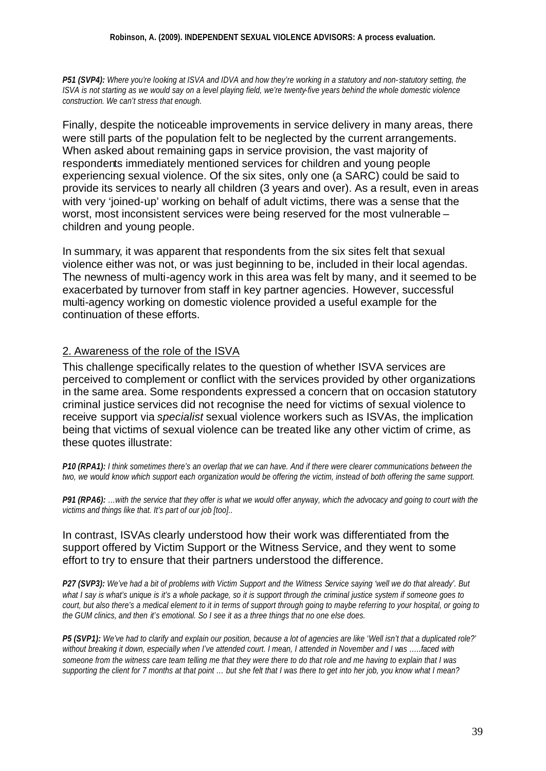*P51 (SVP4): Where you're looking at ISVA and IDVA and how they're working in a statutory and non- statutory setting, the ISVA is not starting as we would say on a level playing field, we're twenty-five years behind the whole domestic violence construction. We can't stress that enough.*

Finally, despite the noticeable improvements in service delivery in many areas, there were still parts of the population felt to be neglected by the current arrangements. When asked about remaining gaps in service provision, the vast majority of respondents immediately mentioned services for children and young people experiencing sexual violence. Of the six sites, only one (a SARC) could be said to provide its services to nearly all children (3 years and over). As a result, even in areas with very 'joined-up' working on behalf of adult victims, there was a sense that the worst, most inconsistent services were being reserved for the most vulnerable – children and young people.

In summary, it was apparent that respondents from the six sites felt that sexual violence either was not, or was just beginning to be, included in their local agendas. The newness of multi-agency work in this area was felt by many, and it seemed to be exacerbated by turnover from staff in key partner agencies. However, successful multi-agency working on domestic violence provided a useful example for the continuation of these efforts.

#### 2. Awareness of the role of the ISVA

This challenge specifically relates to the question of whether ISVA services are perceived to complement or conflict with the services provided by other organizations in the same area. Some respondents expressed a concern that on occasion statutory criminal justice services did not recognise the need for victims of sexual violence to receive support via *specialist* sexual violence workers such as ISVAs, the implication being that victims of sexual violence can be treated like any other victim of crime, as these quotes illustrate:

*P10 (RPA1): I think sometimes there's an overlap that we can have. And if there were clearer communications between the two, we would know which support each organization would be offering the victim, instead of both offering the same support.*

*P91 (RPA6): …with the service that they offer is what we would offer anyway, which the advocacy and going to court with the victims and things like that. It's part of our job [too]..*

#### In contrast, ISVAs clearly understood how their work was differentiated from the support offered by Victim Support or the Witness Service, and they went to some effort to try to ensure that their partners understood the difference.

*P27 (SVP3): We've had a bit of problems with Victim Support and the Witness Service saying 'well we do that already'. But what I say is what's unique is it's a whole package, so it is support through the criminal justice system if someone goes to court, but also there's a medical element to it in terms of support through going to maybe referring to your hospital, or going to the GUM clinics, and then it's emotional. So I see it as a three things that no one else does.* 

*P5 (SVP1): We've had to clarify and explain our position, because a lot of agencies are like 'Well isn't that a duplicated role?' without breaking it down, especially when I've attended court. I mean, I attended in November and I was …..faced with someone from the witness care team telling me that they were there to do that role and me having to explain that I was supporting the client for 7 months at that point … but she felt that I was there to get into her job, you know what I mean?*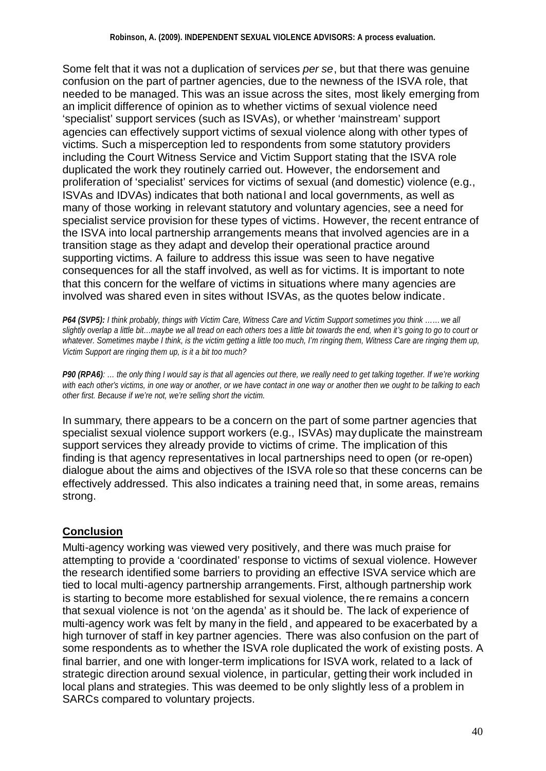Some felt that it was not a duplication of services *per se*, but that there was genuine confusion on the part of partner agencies, due to the newness of the ISVA role, that needed to be managed. This was an issue across the sites, most likely emerging from an implicit difference of opinion as to whether victims of sexual violence need 'specialist' support services (such as ISVAs), or whether 'mainstream' support agencies can effectively support victims of sexual violence along with other types of victims. Such a misperception led to respondents from some statutory providers including the Court Witness Service and Victim Support stating that the ISVA role duplicated the work they routinely carried out. However, the endorsement and proliferation of 'specialist' services for victims of sexual (and domestic) violence (e.g., ISVAs and IDVAs) indicates that both national and local governments, as well as many of those working in relevant statutory and voluntary agencies, see a need for specialist service provision for these types of victims. However, the recent entrance of the ISVA into local partnership arrangements means that involved agencies are in a transition stage as they adapt and develop their operational practice around supporting victims. A failure to address this issue was seen to have negative consequences for all the staff involved, as well as for victims. It is important to note that this concern for the welfare of victims in situations where many agencies are involved was shared even in sites without ISVAs, as the quotes below indicate.

*P64 (SVP5): I think probably, things with Victim Care, Witness Care and Victim Support sometimes you think ……we all slightly overlap a little bit…maybe we all tread on each others toes a little bit towards the end, when it's going to go to court or whatever. Sometimes maybe I think, is the victim getting a little too much, I'm ringing them, Witness Care are ringing them up, Victim Support are ringing them up, is it a bit too much?*

*P90 (RPA6): … the only thing I would say is that all agencies out there, we really need to get talking together. If we're working with each other's victims, in one way or another, or we have contact in one way or another then we ought to be talking to each other first. Because if we're not, we're selling short the victim.* 

In summary, there appears to be a concern on the part of some partner agencies that specialist sexual violence support workers (e.g., ISVAs) may duplicate the mainstream support services they already provide to victims of crime. The implication of this finding is that agency representatives in local partnerships need to open (or re-open) dialogue about the aims and objectives of the ISVA role so that these concerns can be effectively addressed. This also indicates a training need that, in some areas, remains strong.

## **Conclusion**

Multi-agency working was viewed very positively, and there was much praise for attempting to provide a 'coordinated' response to victims of sexual violence. However the research identified some barriers to providing an effective ISVA service which are tied to local multi-agency partnership arrangements. First, although partnership work is starting to become more established for sexual violence, there remains a concern that sexual violence is not 'on the agenda' as it should be. The lack of experience of multi-agency work was felt by many in the field, and appeared to be exacerbated by a high turnover of staff in key partner agencies. There was also confusion on the part of some respondents as to whether the ISVA role duplicated the work of existing posts. A final barrier, and one with longer-term implications for ISVA work, related to a lack of strategic direction around sexual violence, in particular, getting their work included in local plans and strategies. This was deemed to be only slightly less of a problem in SARCs compared to voluntary projects.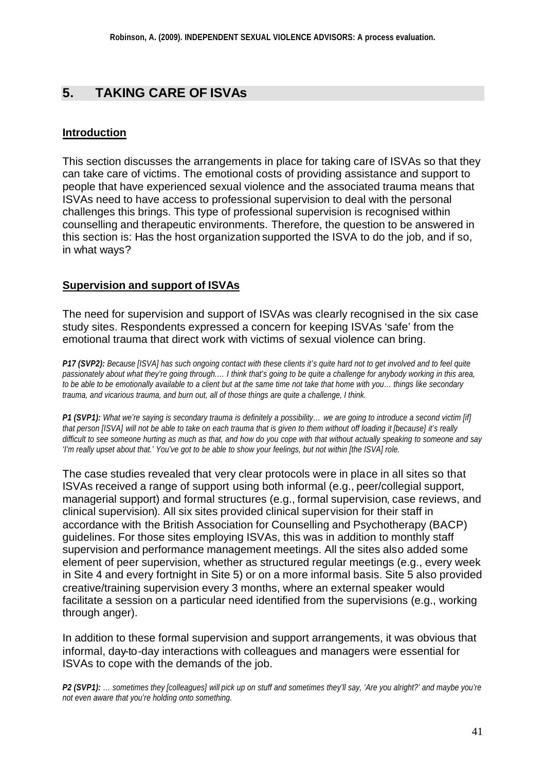## **5. TAKING CARE OF ISVAs**

### **Introduction**

This section discusses the arrangements in place for taking care of ISVAs so that they can take care of victims. The emotional costs of providing assistance and support to people that have experienced sexual violence and the associated trauma means that ISVAs need to have access to professional supervision to deal with the personal challenges this brings. This type of professional supervision is recognised within counselling and therapeutic environments. Therefore, the question to be answered in this section is: Has the host organization supported the ISVA to do the job, and if so, in what ways?

## **Supervision and support of ISVAs**

The need for supervision and support of ISVAs was clearly recognised in the six case study sites. Respondents expressed a concern for keeping ISVAs 'safe' from the emotional trauma that direct work with victims of sexual violence can bring.

*P17 (SVP2): Because [ISVA] has such ongoing contact with these clients it's quite hard not to get involved and to feel quite passionately about what they're going through.… I think that's going to be quite a challenge for anybody working in this area, to be able to be emotionally available to a client but at the same time not take that home with you… things like secondary trauma, and vicarious trauma, and burn out, all of those things are quite a challenge, I think.*

*P1 (SVP1): What we're saying is secondary trauma is definitely a possibility… we are going to introduce a second victim [if] that person [ISVA] will not be able to take on each trauma that is given to them without off loading it [because] it's really difficult to see someone hurting as much as that, and how do you cope with that without actually speaking to someone and say 'I'm really upset about that.' You've got to be able to show your feelings, but not within [the ISVA] role.*

The case studies revealed that very clear protocols were in place in all sites so that ISVAs received a range of support using both informal (e.g., peer/collegial support, managerial support) and formal structures (e.g., formal supervision, case reviews, and clinical supervision). All six sites provided clinical supervision for their staff in accordance with the British Association for Counselling and Psychotherapy (BACP) guidelines. For those sites employing ISVAs, this was in addition to monthly staff supervision and performance management meetings. All the sites also added some element of peer supervision, whether as structured regular meetings (e.g., every week in Site 4 and every fortnight in Site 5) or on a more informal basis. Site 5 also provided creative/training supervision every 3 months, where an external speaker would facilitate a session on a particular need identified from the supervisions (e.g., working through anger).

In addition to these formal supervision and support arrangements, it was obvious that informal, day-to-day interactions with colleagues and managers were essential for ISVAs to cope with the demands of the job.

*P2 (SVP1): … sometimes they [colleagues] will pick up on stuff and sometimes they'll say, 'Are you alright?' and maybe you're not even aware that you're holding onto something.*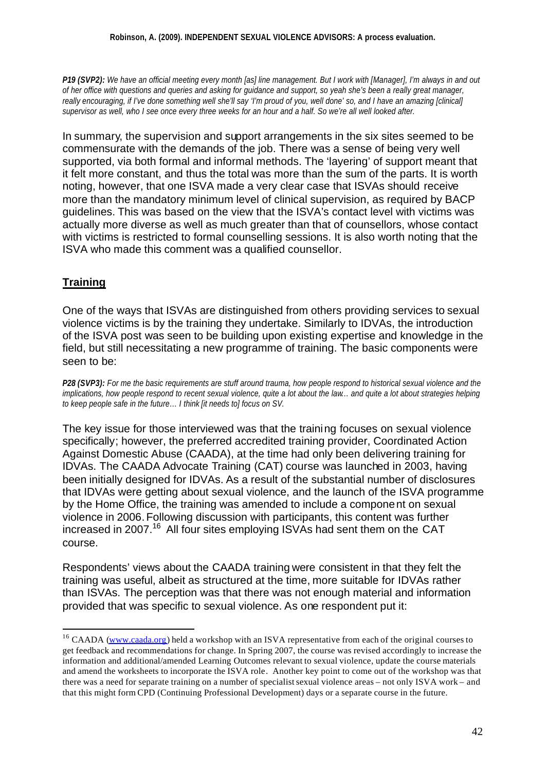*P19 (SVP2): We have an official meeting every month [as] line management. But I work with [Manager], I'm always in and out of her office with questions and queries and asking for guidance and support, so yeah she's been a really great manager, really encouraging, if I've done something well she'll say 'I'm proud of you, well done' so, and I have an amazing [clinical] supervisor as well, who I see once every three weeks for an hour and a half. So we're all well looked after.*

In summary, the supervision and support arrangements in the six sites seemed to be commensurate with the demands of the job. There was a sense of being very well supported, via both formal and informal methods. The 'layering' of support meant that it felt more constant, and thus the total was more than the sum of the parts. It is worth noting, however, that one ISVA made a very clear case that ISVAs should receive more than the mandatory minimum level of clinical supervision, as required by BACP guidelines. This was based on the view that the ISVA's contact level with victims was actually more diverse as well as much greater than that of counsellors, whose contact with victims is restricted to formal counselling sessions. It is also worth noting that the ISVA who made this comment was a qualified counsellor.

## **Training**

l

One of the ways that ISVAs are distinguished from others providing services to sexual violence victims is by the training they undertake. Similarly to IDVAs, the introduction of the ISVA post was seen to be building upon existing expertise and knowledge in the field, but still necessitating a new programme of training. The basic components were seen to be:

*P28 (SVP3): For me the basic requirements are stuff around trauma, how people respond to historical sexual violence and the implications, how people respond to recent sexual violence, quite a lot about the law… and quite a lot about strategies helping to keep people safe in the future… I think [it needs to] focus on SV.*

The key issue for those interviewed was that the training focuses on sexual violence specifically; however, the preferred accredited training provider, Coordinated Action Against Domestic Abuse (CAADA), at the time had only been delivering training for IDVAs. The CAADA Advocate Training (CAT) course was launched in 2003, having been initially designed for IDVAs. As a result of the substantial number of disclosures that IDVAs were getting about sexual violence, and the launch of the ISVA programme by the Home Office, the training was amended to include a component on sexual violence in 2006.Following discussion with participants, this content was further increased in 2007.<sup>16</sup> All four sites employing ISVAs had sent them on the CAT course.

Respondents' views about the CAADA training were consistent in that they felt the training was useful, albeit as structured at the time, more suitable for IDVAs rather than ISVAs. The perception was that there was not enough material and information provided that was specific to sexual violence. As one respondent put it:

<sup>&</sup>lt;sup>16</sup> CAADA (www.caada.org) held a workshop with an ISVA representative from each of the original courses to get feedback and recommendations for change. In Spring 2007, the course was revised accordingly to increase the information and additional/amended Learning Outcomes relevant to sexual violence, update the course materials and amend the worksheets to incorporate the ISVA role. Another key point to come out of the workshop was that there was a need for separate training on a number of specialist sexual violence areas – not only ISVA work – and that this might form CPD (Continuing Professional Development) days or a separate course in the future.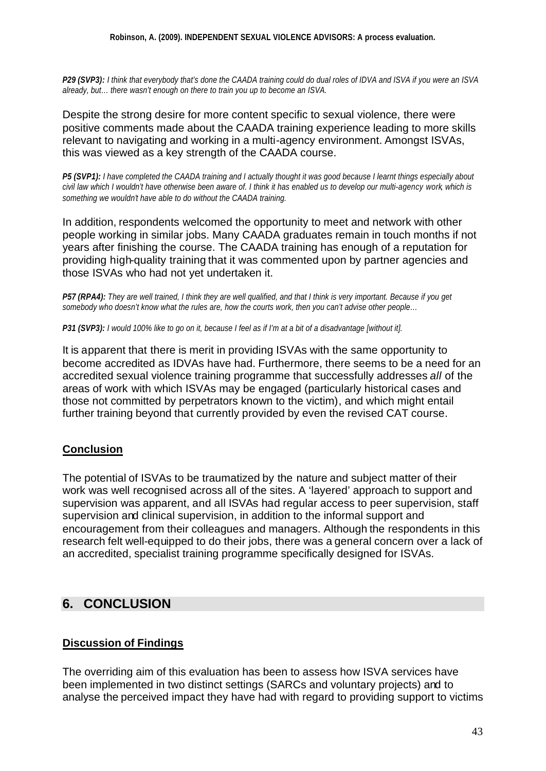#### **Robinson, A. (2009). INDEPENDENT SEXUAL VIOLENCE ADVISORS: A process evaluation.**

*P29 (SVP3): I think that everybody that's done the CAADA training could do dual roles of IDVA and ISVA if you were an ISVA already, but… there wasn't enough on there to train you up to become an ISVA.*

Despite the strong desire for more content specific to sexual violence, there were positive comments made about the CAADA training experience leading to more skills relevant to navigating and working in a multi-agency environment. Amongst ISVAs, this was viewed as a key strength of the CAADA course.

*P5 (SVP1): I have completed the CAADA training and I actually thought it was good because I learnt things especially about civil law which I wouldn't have otherwise been aware of. I think it has enabled us to develop our multi-agency work, which is something we wouldn't have able to do without the CAADA training.*

In addition, respondents welcomed the opportunity to meet and network with other people working in similar jobs. Many CAADA graduates remain in touch months if not years after finishing the course. The CAADA training has enough of a reputation for providing high-quality training that it was commented upon by partner agencies and those ISVAs who had not yet undertaken it.

*P57 (RPA4): They are well trained, I think they are well qualified, and that I think is very important. Because if you get somebody who doesn't know what the rules are, how the courts work, then you can't advise other people…*

*P31 (SVP3): I would 100% like to go on it, because I feel as if I'm at a bit of a disadvantage [without it].*

It is apparent that there is merit in providing ISVAs with the same opportunity to become accredited as IDVAs have had. Furthermore, there seems to be a need for an accredited sexual violence training programme that successfully addresses *all* of the areas of work with which ISVAs may be engaged (particularly historical cases and those not committed by perpetrators known to the victim), and which might entail further training beyond that currently provided by even the revised CAT course.

#### **Conclusion**

The potential of ISVAs to be traumatized by the nature and subject matter of their work was well recognised across all of the sites. A 'layered' approach to support and supervision was apparent, and all ISVAs had regular access to peer supervision, staff supervision and clinical supervision, in addition to the informal support and encouragement from their colleagues and managers. Although the respondents in this research felt well-equipped to do their jobs, there was a general concern over a lack of an accredited, specialist training programme specifically designed for ISVAs.

## **6. CONCLUSION**

#### **Discussion of Findings**

The overriding aim of this evaluation has been to assess how ISVA services have been implemented in two distinct settings (SARCs and voluntary projects) and to analyse the perceived impact they have had with regard to providing support to victims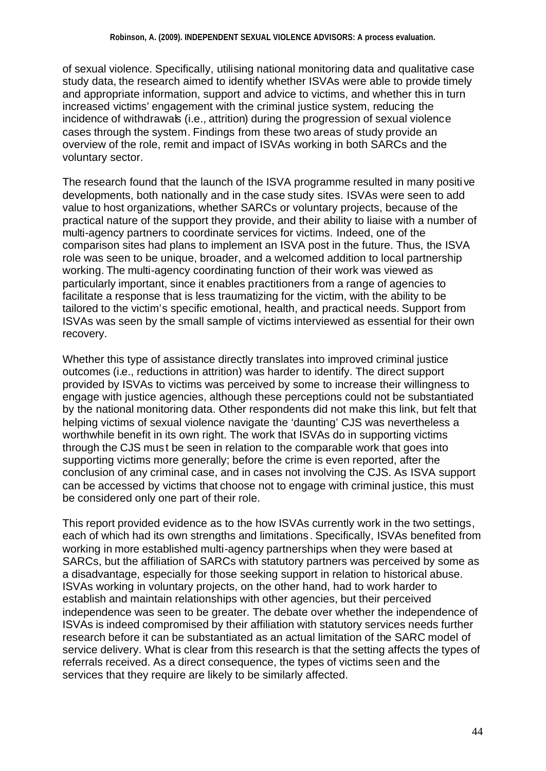of sexual violence. Specifically, utilising national monitoring data and qualitative case study data, the research aimed to identify whether ISVAs were able to provide timely and appropriate information, support and advice to victims, and whether this in turn increased victims' engagement with the criminal justice system, reducing the incidence of withdrawals (i.e., attrition) during the progression of sexual violence cases through the system. Findings from these two areas of study provide an overview of the role, remit and impact of ISVAs working in both SARCs and the voluntary sector.

The research found that the launch of the ISVA programme resulted in many positi ve developments, both nationally and in the case study sites. ISVAs were seen to add value to host organizations, whether SARCs or voluntary projects, because of the practical nature of the support they provide, and their ability to liaise with a number of multi-agency partners to coordinate services for victims. Indeed, one of the comparison sites had plans to implement an ISVA post in the future. Thus, the ISVA role was seen to be unique, broader, and a welcomed addition to local partnership working. The multi-agency coordinating function of their work was viewed as particularly important, since it enables practitioners from a range of agencies to facilitate a response that is less traumatizing for the victim, with the ability to be tailored to the victim's specific emotional, health, and practical needs. Support from ISVAs was seen by the small sample of victims interviewed as essential for their own recovery.

Whether this type of assistance directly translates into improved criminal justice outcomes (i.e., reductions in attrition) was harder to identify. The direct support provided by ISVAs to victims was perceived by some to increase their willingness to engage with justice agencies, although these perceptions could not be substantiated by the national monitoring data. Other respondents did not make this link, but felt that helping victims of sexual violence navigate the 'daunting' CJS was nevertheless a worthwhile benefit in its own right. The work that ISVAs do in supporting victims through the CJS must be seen in relation to the comparable work that goes into supporting victims more generally; before the crime is even reported, after the conclusion of any criminal case, and in cases not involving the CJS. As ISVA support can be accessed by victims that choose not to engage with criminal justice, this must be considered only one part of their role.

This report provided evidence as to the how ISVAs currently work in the two settings, each of which had its own strengths and limitations. Specifically, ISVAs benefited from working in more established multi-agency partnerships when they were based at SARCs, but the affiliation of SARCs with statutory partners was perceived by some as a disadvantage, especially for those seeking support in relation to historical abuse. ISVAs working in voluntary projects, on the other hand, had to work harder to establish and maintain relationships with other agencies, but their perceived independence was seen to be greater. The debate over whether the independence of ISVAs is indeed compromised by their affiliation with statutory services needs further research before it can be substantiated as an actual limitation of the SARC model of service delivery. What is clear from this research is that the setting affects the types of referrals received. As a direct consequence, the types of victims seen and the services that they require are likely to be similarly affected.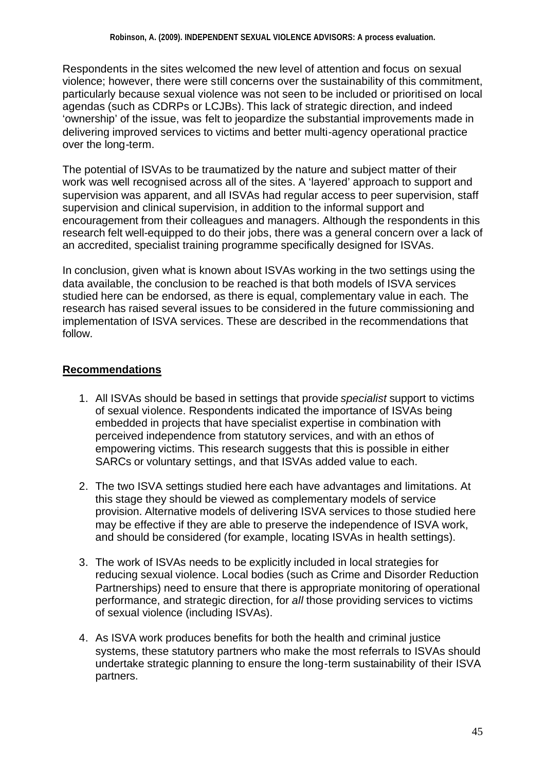Respondents in the sites welcomed the new level of attention and focus on sexual violence; however, there were still concerns over the sustainability of this commitment, particularly because sexual violence was not seen to be included or prioritised on local agendas (such as CDRPs or LCJBs). This lack of strategic direction, and indeed 'ownership' of the issue, was felt to jeopardize the substantial improvements made in delivering improved services to victims and better multi-agency operational practice over the long-term.

The potential of ISVAs to be traumatized by the nature and subject matter of their work was well recognised across all of the sites. A 'layered' approach to support and supervision was apparent, and all ISVAs had regular access to peer supervision, staff supervision and clinical supervision, in addition to the informal support and encouragement from their colleagues and managers. Although the respondents in this research felt well-equipped to do their jobs, there was a general concern over a lack of an accredited, specialist training programme specifically designed for ISVAs.

In conclusion, given what is known about ISVAs working in the two settings using the data available, the conclusion to be reached is that both models of ISVA services studied here can be endorsed, as there is equal, complementary value in each. The research has raised several issues to be considered in the future commissioning and implementation of ISVA services. These are described in the recommendations that follow.

## **Recommendations**

- 1. All ISVAs should be based in settings that provide *specialist* support to victims of sexual violence. Respondents indicated the importance of ISVAs being embedded in projects that have specialist expertise in combination with perceived independence from statutory services, and with an ethos of empowering victims. This research suggests that this is possible in either SARCs or voluntary settings, and that ISVAs added value to each.
- 2. The two ISVA settings studied here each have advantages and limitations. At this stage they should be viewed as complementary models of service provision. Alternative models of delivering ISVA services to those studied here may be effective if they are able to preserve the independence of ISVA work, and should be considered (for example, locating ISVAs in health settings).
- 3. The work of ISVAs needs to be explicitly included in local strategies for reducing sexual violence. Local bodies (such as Crime and Disorder Reduction Partnerships) need to ensure that there is appropriate monitoring of operational performance, and strategic direction, for *all* those providing services to victims of sexual violence (including ISVAs).
- 4. As ISVA work produces benefits for both the health and criminal justice systems, these statutory partners who make the most referrals to ISVAs should undertake strategic planning to ensure the long-term sustainability of their ISVA partners.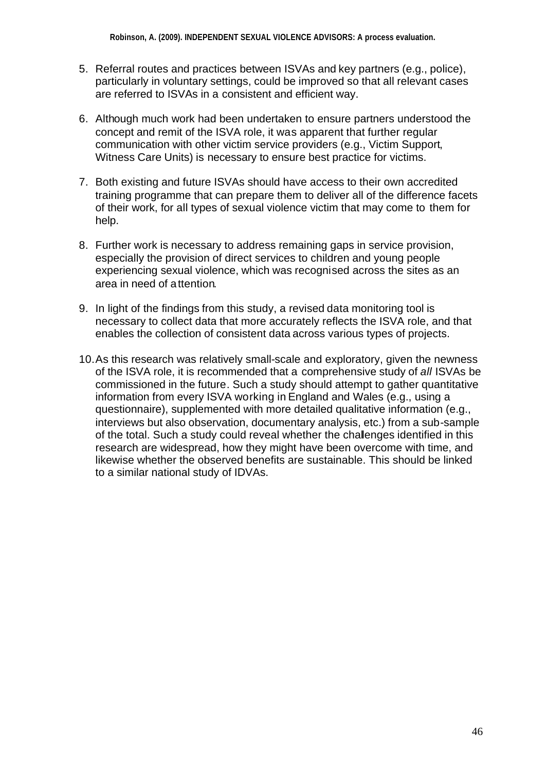- 5. Referral routes and practices between ISVAs and key partners (e.g., police), particularly in voluntary settings, could be improved so that all relevant cases are referred to ISVAs in a consistent and efficient way.
- 6. Although much work had been undertaken to ensure partners understood the concept and remit of the ISVA role, it was apparent that further regular communication with other victim service providers (e.g., Victim Support, Witness Care Units) is necessary to ensure best practice for victims.
- 7. Both existing and future ISVAs should have access to their own accredited training programme that can prepare them to deliver all of the difference facets of their work, for all types of sexual violence victim that may come to them for help.
- 8. Further work is necessary to address remaining gaps in service provision, especially the provision of direct services to children and young people experiencing sexual violence, which was recognised across the sites as an area in need of attention.
- 9. In light of the findings from this study, a revised data monitoring tool is necessary to collect data that more accurately reflects the ISVA role, and that enables the collection of consistent data across various types of projects.
- 10.As this research was relatively small-scale and exploratory, given the newness of the ISVA role, it is recommended that a comprehensive study of *all* ISVAs be commissioned in the future. Such a study should attempt to gather quantitative information from every ISVA working in England and Wales (e.g., using a questionnaire), supplemented with more detailed qualitative information (e.g., interviews but also observation, documentary analysis, etc.) from a sub-sample of the total. Such a study could reveal whether the challenges identified in this research are widespread, how they might have been overcome with time, and likewise whether the observed benefits are sustainable. This should be linked to a similar national study of IDVAs.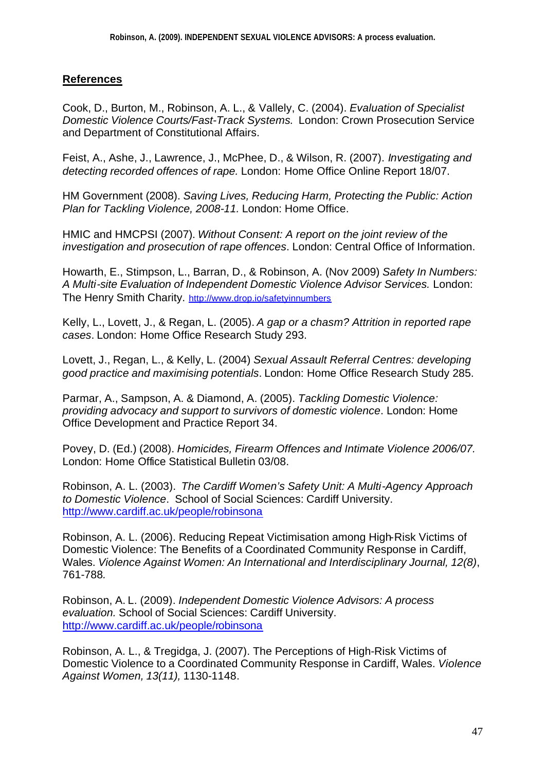### **References**

Cook, D., Burton, M., Robinson, A. L., & Vallely, C. (2004). *Evaluation of Specialist Domestic Violence Courts/Fast-Track Systems*. London: Crown Prosecution Service and Department of Constitutional Affairs.

Feist, A., Ashe, J., Lawrence, J., McPhee, D., & Wilson, R. (2007). *Investigating and detecting recorded offences of rape.* London: Home Office Online Report 18/07.

HM Government (2008). *Saving Lives, Reducing Harm, Protecting the Public: Action Plan for Tackling Violence, 2008-11.* London: Home Office.

HMIC and HMCPSI (2007). *Without Consent: A report on the joint review of the investigation and prosecution of rape offences*. London: Central Office of Information.

Howarth, E., Stimpson, L., Barran, D., & Robinson, A. (Nov 2009) *Safety In Numbers: A Multi-site Evaluation of Independent Domestic Violence Advisor Services.* London: The Henry Smith Charity. http://www.drop.io/safetyinnumbers

Kelly, L., Lovett, J., & Regan, L. (2005). *A gap or a chasm? Attrition in reported rape cases*. London: Home Office Research Study 293.

Lovett, J., Regan, L., & Kelly, L. (2004) *Sexual Assault Referral Centres: developing good practice and maximising potentials*. London: Home Office Research Study 285.

Parmar, A., Sampson, A. & Diamond, A. (2005). *Tackling Domestic Violence: providing advocacy and support to survivors of domestic violence*. London: Home Office Development and Practice Report 34.

Povey, D. (Ed.) (2008). *Homicides, Firearm Offences and Intimate Violence 2006/07.* London: Home Office Statistical Bulletin 03/08.

Robinson, A. L. (2003). *The Cardiff Women's Safety Unit: A Multi-Agency Approach to Domestic Violence*. School of Social Sciences: Cardiff University. http://www.cardiff.ac.uk/people/robinsona

Robinson, A. L. (2006). Reducing Repeat Victimisation among High-Risk Victims of Domestic Violence: The Benefits of a Coordinated Community Response in Cardiff, Wales. *Violence Against Women: An International and Interdisciplinary Journal, 12(8)*, 761-788*.*

Robinson, A. L. (2009). *Independent Domestic Violence Advisors: A process evaluation.* School of Social Sciences: Cardiff University. http://www.cardiff.ac.uk/people/robinsona

Robinson, A. L., & Tregidga, J. (2007). The Perceptions of High-Risk Victims of Domestic Violence to a Coordinated Community Response in Cardiff, Wales. *Violence Against Women, 13(11),* 1130-1148.